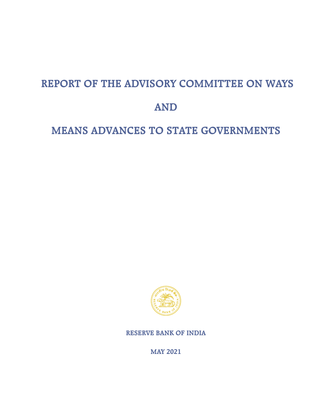# **REPORT OF THE ADVISORY COMMITTEE ON WAYS**

# **AND**

# **MEANS ADVANCES TO STATE GOVERNMENTS**



**RESERVE BANK OF INDIA**

**MAY 2021**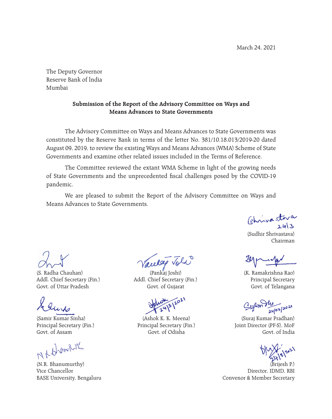March 24, 2021

The Deputy Governor Reserve Bank of lndia Mumbai

# **Submission of the Report of the Advisory Committee on Ways and Means Advances to State Governments**

The Advisory Committee on Ways and Means Advances to State Governments was constituted by the Reserve Bank in terms of the letter No. 381/10.18.013/2019-20 dated August 09, 2019, to review the existing Ways and Means Advances (WMA) Scheme of State Governments and examine other related issues included in the Terms of Reference.

The Committee reviewed the extant WMA Scheme in light of the growing needs of State Governments and the unprecedented fiscal challenges posed by the COVID-19 pandemic.

We are pleased to submit the Report of the Advisory Committee on Ways and Means Advances to State Governments.

Chrisastora

(Sudhir Shrivastava) Chairman

(K. Ramakrishna Rao) Principal Secretary Govt. of Telangana

Sylan du 24/03/2021

 (Suraj Kumar Pradhan) Joint Director (PF-S), MoF Govt. of India



(Brijesh P.) Director, IDMD, RBI Convenor & Member Secretary

(S. Radha Chauhan) Addl. Chief Secretary (Fin.) Govt. of Uttar Pradesh

(Samir Kumar Sinha) Principal Secretary (Fin.) Govt. of Assam

N.R. Hommeling

(N.R. Bhanumurthy) Vice Chancellor BASE University, Bengaluru

Vacelag Voli

(Pankaj Joshi) Addl. Chief Secretary (Fin.) Govt. of Gujarat

 (Ashok K. K. Meena) Principal Secretary (Fin.) Govt. of Odisha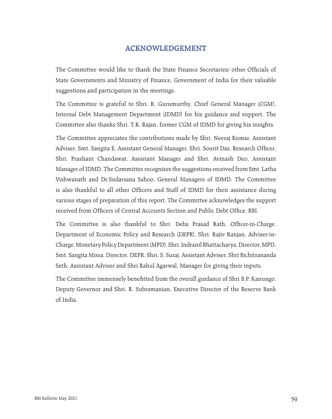# **ACKNOWLEDGEMENT**

The Committee would like to thank the State Finance Secretaries/ other Officials of State Governments and Ministry of Finance, Government of India for their valuable suggestions and participation in the meetings.

The Committee is grateful to Shri. R. Gurumurthy, Chief General Manager (CGM), Internal Debt Management Department (IDMD) for his guidance and support. The Committee also thanks Shri. T.K. Rajan, former CGM of IDMD for giving his insights.

The Committee appreciates the contributions made by Shri. Neeraj Kumar, Assistant Adviser, Smt. Sangita E, Assistant General Manager, Shri. Sourit Das, Research Officer, Shri. Prashant Chandawat, Assistant Manager and Shri. Avinash Deo, Assistant Manager of IDMD. The Committee recognises the suggestions received from Smt. Latha Vishwanath and Dr.Sudarsana Sahoo, General Managers of IDMD. The Committee is also thankful to all other Officers and Staff of IDMD for their assistance during various stages of preparation of this report. The Committee acknowledges the support received from Officers of Central Accounts Section and Public Debt Office, RBI.

The Committee is also thankful to Shri. Deba Prasad Rath, Officer-in-Charge, Department of Economic Policy and Research (DEPR), Shri. Rajiv Ranjan, Adviser-in-Charge, Monetary Policy Department (MPD), Shri. Indranil Bhattacharya, Director, MPD, Smt. Sangita Misra, Director, DEPR, Shri. S. Suraj, Assistant Adviser, Shri Bichitrananda Seth, Assistant Adviser and Shri Rahul Agarwal, Manager for giving their inputs.

The Committee immensely benefitted from the overall guidance of Shri B.P. Kanungo, Deputy Governor and Shri. R. Subramanian, Executive Director of the Reserve Bank of India.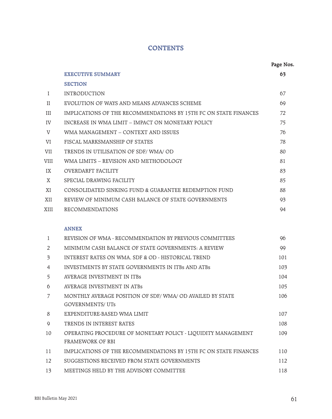# **CONTENTS**

|              |                                                                                    | Page Nos. |
|--------------|------------------------------------------------------------------------------------|-----------|
|              | <b>EXECUTIVE SUMMARY</b>                                                           | 63        |
|              | <b>SECTION</b>                                                                     |           |
| I            | <b>INTRODUCTION</b>                                                                | 67        |
| $\rm II$     | EVOLUTION OF WAYS AND MEANS ADVANCES SCHEME                                        | 69        |
| III          | IMPLICATIONS OF THE RECOMMENDATIONS BY 15TH FC ON STATE FINANCES                   | 72        |
| IV           | INCREASE IN WMA LIMIT - IMPACT ON MONETARY POLICY                                  | 75        |
| $\mathbf{V}$ | WMA MANAGEMENT - CONTEXT AND ISSUES                                                | 76        |
| VI           | FISCAL MARKSMANSHIP OF STATES                                                      | 78        |
| VII          | TRENDS IN UTILISATION OF SDF/WMA/OD                                                | 80        |
| VIII         | WMA LIMITS - REVISION AND METHODOLOGY                                              | 81        |
| IX           | <b>OVERDARFT FACILITY</b>                                                          | 83        |
| X            | SPECIAL DRAWING FACILITY                                                           | 85        |
| XI           | CONSOLIDATED SINKING FUND & GUARANTEE REDEMPTION FUND                              | 88        |
| XII          | REVIEW OF MINIMUM CASH BALANCE OF STATE GOVERNMENTS                                | 93        |
| XIII         | <b>RECOMMENDATIONS</b>                                                             | 94        |
|              |                                                                                    |           |
|              | <b>ANNEX</b>                                                                       |           |
| 1            | REVISION OF WMA - RECOMMENDATION BY PREVIOUS COMMITTEES                            | 96        |
| 2            | MINIMUM CASH BALANCE OF STATE GOVERNMENTS: A REVIEW                                | 99        |
| 3            | INTEREST RATES ON WMA, SDF & OD - HISTORICAL TREND                                 | 101       |
| 4            | INVESTMENTS BY STATE GOVERNMENTS IN ITBS AND ATBS                                  | 103       |
| 5            | <b>AVERAGE INVESTMENT IN ITBs</b>                                                  | 104       |
| 6            | AVERAGE INVESTMENT IN ATBs                                                         | 105       |
| 7            | MONTHLY AVERAGE POSITION OF SDF/WMA/OD AVAILED BY STATE<br><b>GOVERNMENTS/ UTs</b> | 106       |
| 8            | EXPENDITURE-BASED WMA LIMIT                                                        | 107       |
| 9            | TRENDS IN INTEREST RATES                                                           | 108       |
| 10           | OPERATING PROCEDURE OF MONETARY POLICY - LIQUIDITY MANAGEMENT<br>FRAMEWORK OF RBI  | 109       |
| 11           | IMPLICATIONS OF THE RECOMMENDATIONS BY 15TH FC ON STATE FINANCES                   | 110       |
| 12           | SUGGESTIONS RECEIVED FROM STATE GOVERNMENTS                                        | 112       |
| 13           | MEETINGS HELD BY THE ADVISORY COMMITTEE                                            | 118       |
|              |                                                                                    |           |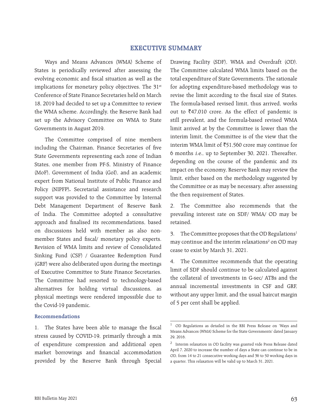# **EXECUTIVE SUMMARY**

Ways and Means Advances (WMA) Scheme of States is periodically reviewed after assessing the evolving economic and fiscal situation as well as the implications for monetary policy objectives. The 31<sup>st</sup> Conference of State Finance Secretaries held on March 18, 2019 had decided to set up a Committee to review the WMA scheme. Accordingly, the Reserve Bank had set up the Advisory Committee on WMA to State Governments in August 2019.

The Committee comprised of nine members including the Chairman, Finance Secretaries of five State Governments representing each zone of Indian States, one member from PF-S, Ministry of Finance (MoF), Government of India (GoI), and an academic expert from National Institute of Public Finance and Policy (NIPFP)**.** Secretarial assistance and research support was provided to the Committee by Internal Debt Management Department of Reserve Bank of India. The Committee adopted a consultative approach and finalised its recommendations, based on discussions held with member as also nonmember States and fiscal/ monetary policy experts. Revision of WMA limits and review of Consolidated Sinking Fund (CSF) / Guarantee Redemption Fund (GRF) were also deliberated upon during the meetings of Executive Committee to State Finance Secretaries. The Committee had resorted to technology-based alternatives for holding virtual discussions, as physical meetings were rendered impossible due to the Covid-19 pandemic.

#### **Recommendations**

1. The States have been able to manage the fiscal stress caused by COVID-19, primarily through a mix of expenditure compression and additional open market borrowings and financial accommodation provided by the Reserve Bank through Special

Drawing Facility (SDF), WMA and Overdraft (OD). The Committee calculated WMA limits based on the total expenditure of State Governments. The rationale for adopting expenditure-based methodology was to revise the limit according to the fiscal size of States. The formula-based revised limit, thus arrived, works out to  $\bar{z}$ 47,010 crore. As the effect of pandemic is still prevalent, and the formula-based revised WMA limit arrived at by the Committee is lower than the interim limit, the Committee is of the view that the interim WMA limit of  $\overline{51,560}$  crore may continue for 6 months i.e., up to September 30, 2021. Thereafter, depending on the course of the pandemic and its impact on the economy, Reserve Bank may review the limit, either based on the methodology suggested by the Committee or as may be necessary, after assessing the then requirement of States.

2. The Committee also recommends that the prevailing interest rate on SDF/ WMA/ OD may be retained.

3. The Committee proposes that the OD Regulations<sup>1</sup> may continue and the interim relaxations<sup>2</sup> on OD may cease to exist by March 31, 2021.

4. The Committee recommends that the operating limit of SDF should continue to be calculated against the collateral of investments in G-sec/ ATBs and the annual incremental investments in CSF and GRF, without any upper limit, and the usual haircut margin of 5 per cent shall be applied.

<sup>1</sup> OD Regulations as detailed in the RBI Press Release on 'Ways and Means Advances (WMA) Scheme for the State Governments' dated January 29, 2016.

<sup>2</sup> Interim relaxation in OD facility was granted vide Press Release dated April 7, 2020 to increase the number of days a State can continue to be in OD, from 14 to 21 consecutive working days and 36 to 50 working days in a quarter. This relaxation will be valid up to March 31, 2021.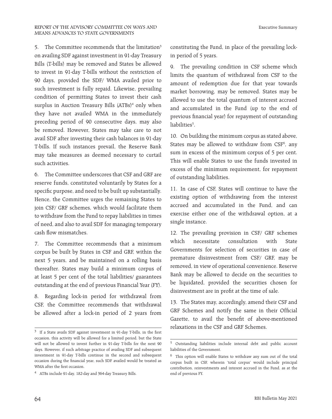5. The Committee recommends that the limitation<sup>3</sup> on availing SDF against investment in 91-day Treasury Bills (T-bills) may be removed and States be allowed to invest in 91-day T-bills without the restriction of 90 days, provided the SDF/ WMA availed prior to such investment is fully repaid. Likewise, prevailing condition of permitting States to invest their cash surplus in Auction Treasury Bills (ATBs)<sup>4</sup> only when they have not availed WMA in the immediately preceding period of 90 consecutive days, may also be removed. However, States may take care to not avail SDF after investing their cash balances in 91-day T-bills. If such instances prevail, the Reserve Bank may take measures as deemed necessary to curtail such activities.

6. The Committee underscores that CSF and GRF are reserve funds, constituted voluntarily by States for a specific purpose, and need to be built up substantially. Hence, the Committee urges the remaining States to join CSF/ GRF schemes, which would facilitate them to withdraw from the Fund to repay liabilities in times of need, and also to avail SDF for managing temporary cash flow mismatches.

7. The Committee recommends that a minimum corpus be built by States in CSF and GRF, within the next 5 years, and be maintained on a rolling basis thereafter. States may build a minimum corpus of at least 5 per cent of the total liabilities/ guarantees outstanding at the end of previous Financial Year (FY).

8. Regarding lock-in period for withdrawal from CSF, the Committee recommends that withdrawal be allowed after a lock-in period of 2 years from

Executive Summary

constituting the Fund, in place of the prevailing lockin period of 5 years.

9. The prevailing condition in CSF scheme which limits the quantum of withdrawal from CSF to the amount of redemption due for that year towards market borrowing, may be removed. States may be allowed to use the total quantum of interest accrued and accumulated in the Fund (up to the end of previous financial year) for repayment of outstanding liabilities<sup>5</sup>.

10. On building the minimum corpus as stated above, States may be allowed to withdraw from  $CSF<sup>6</sup>$ , any sum in excess of the minimum corpus of 5 per cent. This will enable States to use the funds invested in excess of the minimum requirement, for repayment of outstanding liabilities.

11. In case of CSF, States will continue to have the existing option of withdrawing from the interest accrued and accumulated in the Fund, and can exercise either one of the withdrawal option, at a single instance.

12. The prevailing provision in CSF/ GRF schemes which necessitate consultation with State Governments for selection of securities in case of premature disinvestment from CSF/ GRF, may be removed, in view of operational convenience. Reserve Bank may be allowed to decide on the securities to be liquidated, provided the securities chosen for disinvestment are in profit at the time of sale.

13. The States may, accordingly, amend their CSF and GRF Schemes and notify the same in their Official Gazette, to avail the benefit of above-mentioned relaxations in the CSF and GRF Schemes.

<sup>3</sup> If a State avails SDF against investment in 91-day T-bills, in the first occasion, this activity will be allowed for a limited period, but the State will not be allowed to invest further in 91-day T-bills for the next 90 days. However, if such arbitrage practice of availing SDF and subsequent investment in 91-day T-bills continue in the second and subsequent occasion during the financial year, such SDF availed would be treated as WMA after the first occasion.

<sup>4</sup> ATBs include 91-day, 182-day and 364-day Treasury Bills.

<sup>5</sup> Outstanding liabilities include internal debt and public account liabilities of the Government.

<sup>6</sup> This option will enable States to withdraw any sum out of the total corpus built in CSF, wherein 'total corpus' would include principal contribution, reinvestments and interest accrued in the Fund, as at the end of previous FY.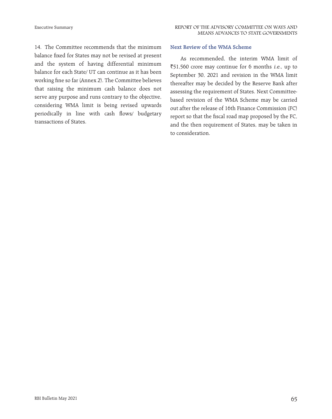14. The Committee recommends that the minimum balance fixed for States may not be revised at present and the system of having differential minimum balance for each State/ UT can continue as it has been working fine so far (Annex 2). The Committee believes that raising the minimum cash balance does not serve any purpose and runs contrary to the objective, considering WMA limit is being revised upwards periodically in line with cash flows/ budgetary transactions of States.

#### **Next Review of the WMA Scheme**

As recommended, the interim WMA limit of  $\overline{51,560}$  crore may continue for 6 months *i.e.*, up to September 30, 2021 and revision in the WMA limit thereafter may be decided by the Reserve Bank after assessing the requirement of States. Next Committeebased revision of the WMA Scheme may be carried out after the release of 16th Finance Commission (FC) report so that the fiscal road map proposed by the FC, and the then requirement of States, may be taken in to consideration.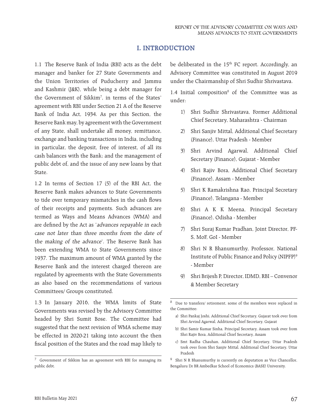# **I. INTRODUCTION**

1.1 The Reserve Bank of India (RBI) acts as the debt manager and banker for 27 State Governments and the Union Territories of Puducherry and Jammu and Kashmir (J&K), while being a debt manager for the Government of Sikkim7 , in terms of the States' agreement with RBI under Section 21 A of the Reserve Bank of India Act, 1934. As per this Section, the Reserve Bank may, by agreement with the Government of any State, shall undertake all money, remittance, exchange and banking transactions in India, including in particular, the deposit, free of interest, of all its cash balances with the Bank; and the management of public debt of, and the issue of any new loans by that State.

1.2 In terms of Section 17 (5) of the RBI Act, the Reserve Bank makes advances to State Governments to tide over temporary mismatches in the cash flows of their receipts and payments. Such advances are termed as Ways and Means Advances (WMA) and are defined by the Act as 'advances repayable in each case not later than three months from the date of the making of the advance'. The Reserve Bank has been extending WMA to State Governments since 1937. The maximum amount of WMA granted by the Reserve Bank and the interest charged thereon are regulated by agreements with the State Governments as also based on the recommendations of various Committees/ Groups constituted.

1.3 In January 2016, the WMA limits of State Governments was revised by the Advisory Committee headed by Shri Sumit Bose. The Committee had suggested that the next revision of WMA scheme may be effected in 2020-21 taking into account the then fiscal position of the States and the road map likely to

be deliberated in the 15<sup>th</sup> FC report. Accordingly, an Advisory Committee was constituted in August 2019 under the Chairmanship of Shri Sudhir Shrivastava.

1.4 Initial composition<sup>8</sup> of the Committee was as under:

- 1) Shri Sudhir Shrivastava, Former Additional Chief Secretary, Maharashtra - Chairman
- 2) Shri Sanjiv Mittal, Additional Chief Secretary (Finance), Uttar Pradesh - Member
- 3) Shri Arvind Agarwal, Additional Chief Secretary (Finance), Gujarat - Member
- 4) Shri Rajiv Bora, Additional Chief Secretary (Finance), Assam - Member
- 5) Shri K Ramakrishna Rao, Principal Secretary (Finance), Telangana - Member
- 6) Shri A K K Meena, Principal Secretary (Finance), Odisha - Member
- 7) Shri Suraj Kumar Pradhan, Joint Director, PF-S, MoF, GoI - Member
- 8) Shri N R Bhanumurthy, Professor, National Institute of Public Finance and Policy (NIPFP)9 - Member
- 9) Shri Brijesh P, Director, IDMD, RBI Convenor & Member Secretary

 $^8\;$  Due to transfers/ retirement, some of the members were replaced in the Committee:

- b) Shri Samir Kumar Sinha, Principal Secretary, Assam took over from Shri Rajiv Bora, Additional Chief Secretary, Assam
- c) Smt Radha Chauhan, Additional Chief Secretary, Uttar Pradesh took over from Shri Sanjiv Mittal, Additional Chief Secretary, Uttar Pradesh

<sup>7</sup> Government of Sikkim has an agreement with RBI for managing its public debt.

a) Shri Pankaj Joshi, Additional Chief Secretary, Gujarat took over from Shri Arvind Agarwal, Additional Chief Secretary, Gujarat

<sup>9</sup> Shri N R Bhanumurthy is currently on deputation as Vice Chancellor, Bengaluru Dr BR Ambedkar School of Economics (BASE) University.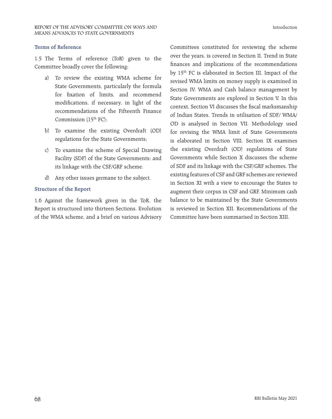#### **Terms of Reference**

1.5 The Terms of reference (ToR) given to the Committee broadly cover the following:

- a) To review the existing WMA scheme for State Governments, particularly the formula for fixation of limits, and recommend modifications, if necessary, in light of the recommendations of the Fifteenth Finance Commission  $(15<sup>th</sup> FC):$
- b) To examine the existing Overdraft (OD) regulations for the State Governments;
- c) To examine the scheme of Special Drawing Facility (SDF) of the State Governments; and its linkage with the CSF/GRF scheme.
- d) Any other issues germane to the subject.

#### **Structure of the Report**

1.6 Against the framework given in the ToR, the Report is structured into thirteen Sections. Evolution of the WMA scheme, and a brief on various Advisory

Committees constituted for reviewing the scheme over the years, is covered in Section II. Trend in State finances and implications of the recommendations by 15th FC is elaborated in Section III. Impact of the revised WMA limits on money supply is examined in Section IV. WMA and Cash balance management by State Governments are explored in Section V. In this context, Section VI discusses the fiscal marksmanship of Indian States. Trends in utilisation of SDF/ WMA/ OD is analysed in Section VII. Methodology used for revising the WMA limit of State Governments is elaborated in Section VIII. Section IX examines the existing Overdraft (OD) regulations of State Governments while Section X discusses the scheme of SDF and its linkage with the CSF/GRF schemes. The existing features of CSF and GRF schemes are reviewed in Section XI with a view to encourage the States to augment their corpus in CSF and GRF. Minimum cash balance to be maintained by the State Governments is reviewed in Section XII. Recommendations of the Committee have been summarised in Section XIII.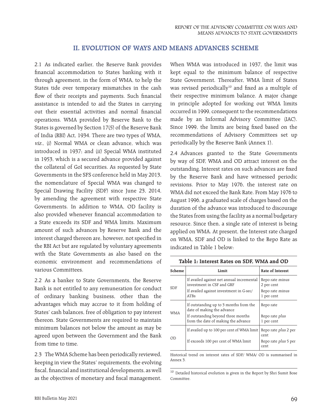# **II. EVOLUTION OF WAYS AND MEANS ADVANCES SCHEME**

2.1 As indicated earlier, the Reserve Bank provides financial accommodation to States banking with it through agreement, in the form of WMA, to help the States tide over temporary mismatches in the cash flow of their receipts and payments. Such financial assistance is intended to aid the States in carrying out their essential activities and normal financial operations. WMA provided by Reserve Bank to the States is governed by Section 17(5) of the Reserve Bank of India (RBI) Act, 1934. There are two types of WMA, viz., (i) Normal WMA or clean advance, which was introduced in 1937; and (ii) Special WMA instituted in 1953, which is a secured advance provided against the collateral of GoI securities. As requested by State Governments in the SFS conference held in May 2013, the nomenclature of Special WMA was changed to Special Drawing Facility (SDF) since June 23, 2014, by amending the agreement with respective State Governments. In addition to WMA, OD facility is also provided whenever financial accommodation to a State exceeds its SDF and WMA limits. Maximum amount of such advances by Reserve Bank and the interest charged thereon are, however, not specified in the RBI Act but are regulated by voluntary agreements with the State Governments as also based on the economic environment and recommendations of various Committees.

2.2 As a banker to State Governments, the Reserve Bank is not entitled to any remuneration for conduct of ordinary banking business, other than the advantages which may accrue to it from holding of States' cash balances, free of obligation to pay interest thereon. State Governments are required to maintain minimum balances not below the amount as may be agreed upon between the Government and the Bank from time to time.

2.3 The WMA Scheme has been periodically reviewed, keeping in view the States' requirements, the evolving fiscal, financial and institutional developments, as well as the objectives of monetary and fiscal management.

When WMA was introduced in 1937, the limit was kept equal to the minimum balance of respective State Government. Thereafter, WMA limit of States was revised periodically<sup>10</sup> and fixed as a multiple of their respective minimum balance. A major change in principle adopted for working out WMA limits occurred in 1999, consequent to the recommendations made by an Informal Advisory Committee (IAC). Since 1999, the limits are being fixed based on the recommendations of Advisory Committees set up periodically by the Reserve Bank (Annex 1).

2.4 Advances granted to the State Governments by way of SDF, WMA and OD attract interest on the outstanding. Interest rates on such advances are fixed by the Reserve Bank and have witnessed periodic revisions. Prior to May 1976, the interest rate on WMA did not exceed the Bank Rate. From May 1976 to August 1996, a graduated scale of charges based on the duration of the advance was introduced to discourage the States from using the facility as a normal budgetary resource. Since then, a single rate of interest is being applied on WMA. At present, the Interest rate charged on WMA, SDF and OD is linked to the Repo Rate as indicated in Table 1 below:

| Scheme     | Limit                                                                     | Rate of Interest                     |
|------------|---------------------------------------------------------------------------|--------------------------------------|
| <b>SDF</b> | If availed against net annual incremental<br>investment in CSF and GRF    | Repo rate <i>minus</i><br>2 per cent |
|            | If availed against investment in G-sec/<br><b>ATRs</b>                    | Repo rate minus<br>1 per cent        |
| <b>WMA</b> | If outstanding up to 3 months from the<br>date of making the advance      | Repo rate                            |
|            | If outstanding beyond three months<br>from the date of making the advance | Repo rate plus<br>1 per cent         |
|            | If availed up to 100 per cent of WMA limit                                | Repo rate <i>plus</i> 2 per<br>cent  |
| റ്റ        | If exceeds 100 per cent of WMA limit                                      | Repo rate <i>plus</i> 5 per<br>cent  |

**Table 1: Interest Rates on SDF, WMA and OD**

Historical trend on interest rates of SDF/ WMA/ OD is summarised in Annex 3.

 $^{10}\,$  Detailed historical evolution is given in the Report by Shri Sumit Bose Committee.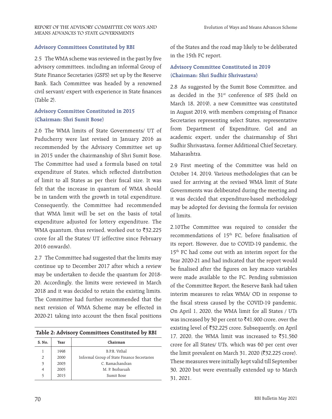#### **Advisory Committees Constituted by RBI**

2.5 The WMA scheme was reviewed in the past by five advisory committees, including an informal Group of State Finance Secretaries (GSFS) set up by the Reserve Bank. Each Committee was headed by a renowned civil servant/ expert with experience in State finances (Table 2).

# **Advisory Committee Constituted in 2015 (Chairman: Shri Sumit Bose)**

2.6 The WMA limits of State Governments/ UT of Puducherry were last revised in January 2016 as recommended by the Advisory Committee set up in 2015 under the chairmanship of Shri Sumit Bose. The Committee had used a formula based on total expenditure of States, which reflected distribution of limit to all States as per their fiscal size. It was felt that the increase in quantum of WMA should be in tandem with the growth in total expenditure. Consequently, the Committee had recommended that WMA limit will be set on the basis of total expenditure adjusted for lottery expenditure. The WMA quantum, thus revised, worked out to  $\bar{z}$ 32,225 crore for all the States/ UT (effective since February 2016 onwards).

2.7 The Committee had suggested that the limits may continue up to December 2017 after which a review may be undertaken to decide the quantum for 2018- 20. Accordingly, the limits were reviewed in March 2018 and it was decided to retain the existing limits. The Committee had further recommended that the next revision of WMA Scheme may be effected in 2020-21 taking into account the then fiscal positions

| Table 2: Advisory Committees Constituted by RBI |  |  |  |
|-------------------------------------------------|--|--|--|
|-------------------------------------------------|--|--|--|

| S. No. | Year | Chairman                                    |
|--------|------|---------------------------------------------|
| 1      | 1998 | B.P.R. Vithal                               |
| 2      | 2000 | Informal Group of State Finance Secretaries |
| 3      | 2003 | C. Ramachandran                             |
| 4      | 2005 | M. P. Bezbaruah                             |
| 5      | 2015 | Sumit Bose                                  |

of the States and the road map likely to be deliberated in the 15th FC report.

# **Advisory Committee Constituted in 2019 (Chairman: Shri Sudhir Shrivastava)**

2.8 As suggested by the Sumit Bose Committee, and as decided in the 31<sup>st</sup> conference of SFS (held on March 18, 2019), a new Committee was constituted in August 2019, with members comprising of Finance Secretaries representing select States, representative from Department of Expenditure, GoI and an academic expert, under the chairmanship of Shri Sudhir Shrivastava, former Additional Chief Secretary, Maharashtra.

2.9 First meeting of the Committee was held on October 14, 2019. Various methodologies that can be used for arriving at the revised WMA limit of State Governments was deliberated during the meeting and it was decided that expenditure-based methodology may be adopted for devising the formula for revision of limits.

2.10The Committee was required to consider the recommendations of 15<sup>th</sup> FC, before finalisation of its report. However, due to COVID-19 pandemic, the 15<sup>th</sup> FC had come out with an interim report for the Year 2020-21 and had indicated that the report would be finalised after the figures on key macro variables were made available to the FC. Pending submission of the Committee Report, the Reserve Bank had taken interim measures to relax WMA/ OD in response to the fiscal stress caused by the COVID-19 pandemic. On April 1, 2020, the WMA limit for all States / UTs was increased by 30 per cent to  $\text{\textoverline{3}}41,900$  crore, over the existing level of ₹32,225 crore. Subsequently, on April 17, 2020, the WMA limit was increased to  $\overline{5}1,560$ crore for all States/ UTs, which was 60 per cent over the limit prevalent on March 31, 2020 ( $\overline{\text{32,225}}$  crore). These measures were initially kept valid till September 30, 2020 but were eventually extended up to March 31, 2021.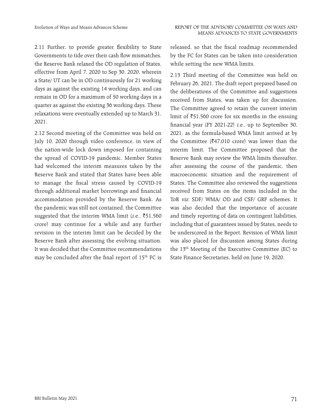2.11 Further, to provide greater flexibility to State Governments to tide over their cash flow mismatches, the Reserve Bank relaxed the OD regulation of States, effective from April 7, 2020 to Sep 30, 2020, wherein a State/ UT can be in OD continuously for 21 working days as against the existing 14 working days, and can remain in OD for a maximum of 50 working days in a quarter as against the existing 36 working days. These relaxations were eventually extended up to March 31, 2021.

2.12 Second meeting of the Committee was held on July 10, 2020 through video conference, in view of the nation-wide lock down imposed for containing the spread of COVID-19 pandemic. Member States had welcomed the interim measures taken by the Reserve Bank and stated that States have been able to manage the fiscal stress caused by COVID-19 through additional market borrowings and financial accommodation provided by the Reserve Bank. As the pandemic was still not contained, the Committee suggested that the interim WMA limit (*i.e.*,  $\overline{5}51,560$ crore) may continue for a while and any further revision in the interim limit can be decided by the Reserve Bank after assessing the evolving situation. It was decided that the Committee recommendations may be concluded after the final report of 15<sup>th</sup> FC is

released, so that the fiscal roadmap recommended by the FC for States can be taken into consideration while setting the new WMA limits.

2.13 Third meeting of the Committee was held on February 26, 2021. The draft report prepared based on the deliberations of the Committee and suggestions received from States, was taken up for discussion. The Committee agreed to retain the current interim limit of  $\bar{5}1,560$  crore for six months in the ensuing financial year (FY 2021-22) i.e., up to September 30, 2021, as the formula-based WMA limit arrived at by the Committee ( $\bar{\ell}$ 47,010 crore) was lower than the interim limit. The Committee proposed that the Reserve Bank may review the WMA limits thereafter, after assessing the course of the pandemic, then macroeconomic situation and the requirement of States. The Committee also reviewed the suggestions received from States on the items included in the ToR viz. SDF/ WMA/ OD and CSF/ GRF schemes. It was also decided that the importance of accurate and timely reporting of data on contingent liabilities, including that of guarantees issued by States, needs to be underscored in the Report. Revision of WMA limit was also placed for discussion among States during the 13th Meeting of the Executive Committee (EC) to State Finance Secretaries, held on June 19, 2020.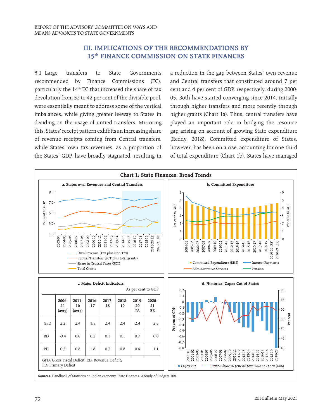# **III. IMPLICATIONS OF THE RECOMMENDATIONS BY 15th FINANCE COMMISSION ON STATE FINANCES**

3.1 Large transfers to State Governments recommended by Finance Commissions (FC), particularly the 14<sup>th</sup> FC that increased the share of tax devolution from 32 to 42 per cent of the divisible pool, were essentially meant to address some of the vertical imbalances, while giving greater leeway to States in deciding on the usage of untied transfers. Mirroring this, States' receipt pattern exhibits an increasing share of revenue receipts coming from Central transfers, while States' own tax revenues, as a proportion of the States' GDP, have broadly stagnated, resulting in

a reduction in the gap between States' own revenue and Central transfers that constituted around 7 per cent and 4 per cent of GDP, respectively, during 2000- 05. Both have started converging since 2014, initially through higher transfers and more recently through higher grants (Chart 1a). Thus, central transfers have played an important role in bridging the resource gap arising on account of growing State expenditure (Reddy, 2018). Committed expenditure of States, however, has been on a rise, accounting for one third of total expenditure (Chart 1b). States have managed

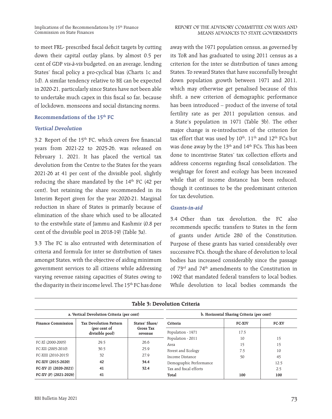to meet FRL- prescribed fiscal deficit targets by cutting down their capital outlay plans, by almost 0.5 per cent of GDP vis-à-vis budgeted, on an average, lending States' fiscal policy a pro-cyclical bias (Charts 1c and 1d). A similar tendency relative to BE can be expected in 2020-21, particularly since States have not been able to undertake much capex in this fiscal so far, because of lockdown, monsoons and social distancing norms.

# **Recommendations of the 15th FC**

#### **Vertical Devolution**

3.2 Report of the  $15<sup>th</sup>$  FC, which covers five financial years from 2021-22 to 2025-26, was released on February 1, 2021. It has placed the vertical tax devolution from the Centre to the States for the years 2021-26 at 41 per cent of the divisible pool, slightly reducing the share mandated by the  $14<sup>th</sup>$  FC (42 per cent), but retaining the share recommended in its Interim Report given for the year 2020-21. Marginal reduction in share of States is primarily because of elimination of the share which used to be allocated to the erstwhile state of Jammu and Kashmir (0.8 per cent of the divisible pool in 2018-19) (Table 3a).

3.3 The FC is also entrusted with determination of criteria and formula for inter se distribution of taxes amongst States, with the objective of aiding minimum government services to all citizens while addressing varying revenue raising capacities of States owing to the disparity in their income level. The 15<sup>th</sup> FC has done

away with the 1971 population census, as governed by its ToR and has graduated to using 2011 census as a criterion for the inter se distribution of taxes among States. To reward States that have successfully brought down population growth between 1971 and 2011, which may otherwise get penalised because of this shift, a new criterion of demographic performance has been introduced – product of the inverse of total fertility rate as per 2011 population census, and a State's population in 1971 (Table 3b). The other major change is re-introduction of the criterion for tax effort that was used by  $10^{\text{th}}$ ,  $11^{\text{th}}$  and  $12^{\text{th}}$  FCs but was done away by the 13<sup>th</sup> and 14<sup>th</sup> FCs. This has been done to incentivise States' tax collection efforts and address concerns regarding fiscal consolidation. The weightage for forest and ecology has been increased while that of income distance has been reduced, though it continues to be the predominant criterion for tax devolution.

#### **Grants-in-aid**

3.4 Other than tax devolution, the FC also recommends specific transfers to States in the form of grants under Article 280 of the Constitution. Purpose of these grants has varied considerably over successive FCs, though the share of devolution to local bodies has increased considerably since the passage of 73rd and 74th amendments to the Constitution in 1992 that mandated federal transfers to local bodies. While devolution to local bodies commands the

| Table 3: Devolution Criteria |                                            |                      |                                           |               |       |  |  |
|------------------------------|--------------------------------------------|----------------------|-------------------------------------------|---------------|-------|--|--|
|                              | a. Vertical Devolution Criteria (per cent) |                      | b. Horizontal Sharing Criteria (per cent) |               |       |  |  |
| <b>Finance Commission</b>    | <b>Tax Devolution Pattern</b>              | States' Share/       | Criteria                                  | <b>FC-XIV</b> | FC-XV |  |  |
|                              | (per cent of<br>divisible pool)            | Gross Tax<br>revenue | Population - 1971                         | 17.5          |       |  |  |
|                              |                                            | 26.6                 | Population - 2011                         | 10            | 15    |  |  |
| FC-XI (2000-2005)            | 29.5                                       |                      | Area                                      | 15            | 15    |  |  |
| FC-XII (2005-2010)           | 30.5                                       | 25.9                 | Forest and Ecology                        | 7.5           | 10    |  |  |
| FC-XIII (2010-2015)          | 32                                         | 27.9                 | Income Distance                           | 50            | 45    |  |  |
| FC-XIV (2015-2020)           | 42                                         | 34.4                 | Demographic Performance                   |               | 12.5  |  |  |
| FC-XV (I) (2020-2021)        | 41                                         | 32.4                 | Tax and fiscal efforts                    |               | 2.5   |  |  |
| FC-XV (F) (2021-2026)        | 41                                         |                      | Total                                     | 100           | 100   |  |  |

**Table 3: Devolution Criteria**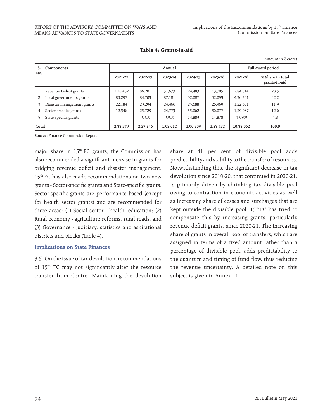(Amount in  $\bar{\tau}$  crore)

| S.             | Components                 |          |          | Annual   | Full award period |          |           |                                   |
|----------------|----------------------------|----------|----------|----------|-------------------|----------|-----------|-----------------------------------|
| No.            |                            | 2021-22  | 2022-23  | 2023-24  | 2024-25           | 2025-26  | 2021-26   | % Share in total<br>grants-in-aid |
|                | Revenue Deficit grants     | 1,18,452 | 86.201   | 51.673   | 24.483            | 13.705   | 2,94,514  | 28.5                              |
| 2              | Local governments grants   | 80,297   | 84.703   | 87.181   | 92,087            | 92,093   | 4,36,361  | 42.2                              |
| 3              | Disaster management grants | 22.184   | 23.294   | 24.466   | 25.688            | 26,969   | 1.22.601  | 11.9                              |
| $\overline{4}$ | Sector-specific grants     | 12,346   | 23.729   | 24.773   | 33.062            | 36,077   | 1,29,987  | 12.6                              |
| 5              | State-specific grants      |          | 9.919    | 9.919    | 14.883            | 14.878   | 49,599    | 4.8                               |
| Total          |                            | 2,33,279 | 2.27.846 | 1.98.012 | 1.90.203          | 1.83.722 | 10.33.062 | 100.0                             |

 **Table 4: Grants-in-aid** 

**Source:** Finance Commission Report

major share in  $15<sup>th</sup>$  FC grants, the Commission has also recommended a significant increase in grants for bridging revenue deficit and disaster management. 15th FC has also made recommendations on two new grants - Sector-specific grants and State-specific grants. Sector-specific grants are performance based (except for health sector grants) and are recommended for three areas: (1) Social sector - health, education; (2) Rural economy - agriculture reforms, rural roads, and (3) Governance - judiciary, statistics and aspirational districts and blocks (Table 4).

#### **Implications on State Finances**

3.5 On the issue of tax devolution, recommendations of 15<sup>th</sup> FC may not significantly alter the resource transfer from Centre. Maintaining the devolution

share at 41 per cent of divisible pool adds predictability and stability to the transfer of resources. Notwithstanding this, the significant decrease in tax devolution since 2019-20, that continued in 2020-21, is primarily driven by shrinking tax divisible pool owing to contraction in economic activities as well as increasing share of cesses and surcharges that are kept outside the divisible pool. 15<sup>th</sup> FC has tried to compensate this by increasing grants, particularly revenue deficit grants, since 2020-21. The increasing share of grants in overall pool of transfers, which are assigned in terms of a fixed amount rather than a percentage of divisible pool, adds predictability to the quantum and timing of fund flow, thus reducing the revenue uncertainty. A detailed note on this subject is given in Annex-11.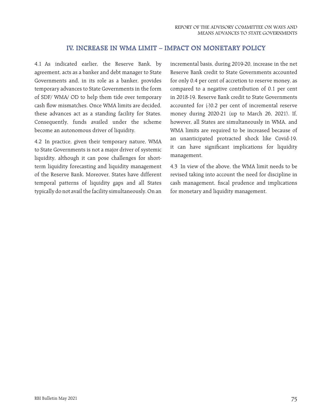# **IV. INCREASE IN WMA LIMIT – IMPACT ON MONETARY POLICY**

4.1 As indicated earlier, the Reserve Bank, by agreement, acts as a banker and debt manager to State Governments and, in its role as a banker, provides temporary advances to State Governments in the form of SDF/ WMA/ OD to help them tide over temporary cash flow mismatches. Once WMA limits are decided, these advances act as a standing facility for States. Consequently, funds availed under the scheme become an autonomous driver of liquidity.

4.2 In practice, given their temporary nature, WMA to State Governments is not a major driver of systemic liquidity, although it can pose challenges for shortterm liquidity forecasting and liquidity management of the Reserve Bank. Moreover, States have different temporal patterns of liquidity gaps and all States typically do not avail the facility simultaneously. On an

incremental basis, during 2019-20, increase in the net Reserve Bank credit to State Governments accounted for only 0.4 per cent of accretion to reserve money, as compared to a negative contribution of 0.1 per cent in 2018-19. Reserve Bank credit to State Governments accounted for (-)0.2 per cent of incremental reserve money during 2020-21 (up to March 26, 2021). If, however, all States are simultaneously in WMA, and WMA limits are required to be increased because of an unanticipated protracted shock like Covid-19, it can have significant implications for liquidity management.

4.3 In view of the above, the WMA limit needs to be revised taking into account the need for discipline in cash management, fiscal prudence and implications for monetary and liquidity management.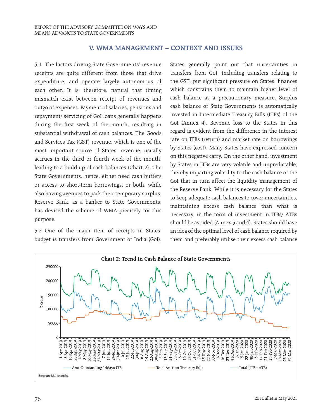# **V. WMA MANAGEMENT – CONTEXT AND ISSUES**

5.1 The factors driving State Governments' revenue receipts are quite different from those that drive expenditure, and operate largely autonomous of each other. It is, therefore, natural that timing mismatch exist between receipt of revenues and outgo of expenses. Payment of salaries, pensions and repayment/ servicing of GoI loans generally happens during the first week of the month, resulting in substantial withdrawal of cash balances. The Goods and Services Tax (GST) revenue, which is one of the most important source of States' revenue, usually accrues in the third or fourth week of the month, leading to a build-up of cash balances (Chart 2). The State Governments, hence, either need cash buffers or access to short-term borrowings, or both, while also having avenues to park their temporary surplus. Reserve Bank, as a banker to State Governments, has devised the scheme of WMA precisely for this purpose.

5.2 One of the major item of receipts in States' budget is transfers from Government of India (GoI). States generally point out that uncertainties in transfers from GoI, including transfers relating to the GST, put significant pressure on States' finances which constrains them to maintain higher level of cash balance as a precautionary measure. Surplus cash balance of State Governments is automatically invested in Intermediate Treasury Bills (ITBs) of the GoI (Annex 4). Revenue loss to the States in this regard is evident from the difference in the interest rate on ITBs (return) and market rate on borrowings by States (cost). Many States have expressed concern on this negative carry. On the other hand, investment by States in ITBs are very volatile and unpredictable, thereby imparting volatility to the cash balance of the GoI that in turn affect the liquidity management of the Reserve Bank. While it is necessary for the States to keep adequate cash balances to cover uncertainties, maintaining excess cash balance than what is necessary, in the form of investment in ITBs/ ATBs should be avoided (Annex 5 and 6). States should have an idea of the optimal level of cash balance required by them and preferably utilise their excess cash balance

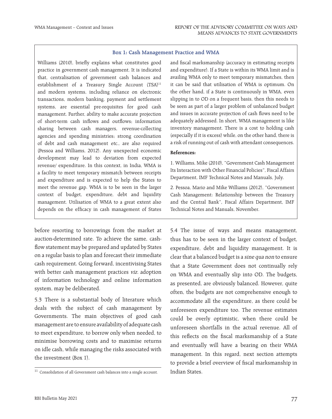#### **Box 1: Cash Management Practice and WMA**

Williams (2010), briefly explains what constitutes good practice in government cash management. It is indicated that, centralisation of government cash balances and establishment of a Treasury Single Account (TSA)<sup>11</sup> and modern systems, including reliance on electronic transactions, modern banking, payment and settlement systems, are essential pre-requisites for good cash management. Further, ability to make accurate projection of short-term cash inflows and outflows; information sharing between cash managers, revenue-collecting agencies and spending ministries; strong coordination of debt and cash management etc., are also required (Pessoa and Williams, 2012). Any unexpected economic development may lead to deviation from expected revenue/ expenditure. In this context, in India, WMA is a facility to meet temporary mismatch between receipts and expenditure and is expected to help the States to meet the revenue gap. WMA is to be seen in the larger context of budget, expenditure, debt and liquidity management. Utilisation of WMA to a great extent also depends on the efficacy in cash management of States

before resorting to borrowings from the market at auction-determined rate. To achieve the same, cashflow statement may be prepared and updated by States on a regular basis to plan and forecast their immediate cash requirement. Going forward, incentivising States with better cash management practices *viz*. adoption of information technology and online information system, may be deliberated.

5.3 There is a substantial body of literature which deals with the subject of cash management by Governments. The main objectives of good cash management are to ensure availability of adequate cash to meet expenditure, to borrow only when needed, to minimise borrowing costs and to maximise returns on idle cash, while managing the risks associated with the investment (Box 1).

and fiscal marksmanship (accuracy in estimating receipts and expenditure). If a State is within its WMA limit and is availing WMA only to meet temporary mismatches, then it can be said that utilisation of WMA is optimum. On the other hand, if a State is continuously in WMA, even slipping in to OD on a frequent basis, then this needs to be seen as part of a larger problem of unbalanced budget and issues in accurate projection of cash flows need to be adequately addressed. In short, WMA management is like inventory management. There is a cost to holding cash (especially if it is excess) while, on the other hand, there is a risk of running out of cash with attendant consequences.

# **References:**

1. Williams, Mike (2010), "Government Cash Management Its Interaction with Other Financial Policies", Fiscal Affairs Department, IMF Technical Notes and Manuals, July.

2. Pessoa, Mario and Mike Williams (2012), "Government Cash Management: Relationship between the Treasury and the Central Bank", Fiscal Affairs Department, IMF Technical Notes and Manuals, November.

5.4 The issue of ways and means management, thus has to be seen in the larger context of budget, expenditure, debt and liquidity management. It is clear that a balanced budget is a sine qua non to ensure that a State Government does not continually rely on WMA and eventually slip into OD. The budgets, as presented, are obviously balanced. However, quite often, the budgets are not comprehensive enough to accommodate all the expenditure, as there could be unforeseen expenditure too. The revenue estimates could be overly optimistic, when there could be unforeseen shortfalls in the actual revenue. All of this reflects on the fiscal marksmanship of a State and eventually will have a bearing on their WMA management. In this regard, next section attempts to provide a brief overview of fiscal marksmanship in Indian States.

<sup>&</sup>lt;sup>11</sup> Consolidation of all Government cash balances into a single account.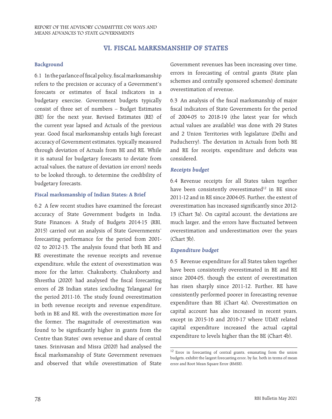# **VI. FISCAL MARKSMANSHIP OF STATES**

#### **Background**

6.1 In the parlance of fiscal policy, fiscal marksmanship refers to the precision or accuracy of a Government's forecasts or estimates of fiscal indicators in a budgetary exercise. Government budgets typically consist of three set of numbers – Budget Estimates (BE) for the next year, Revised Estimates (RE) of the current year lapsed and Actuals of the previous year. Good fiscal marksmanship entails high forecast accuracy of Government estimates, typically measured through deviation of Actuals from BE and RE. While it is natural for budgetary forecasts to deviate from actual values, the nature of deviation (or errors) needs to be looked through, to determine the credibility of budgetary forecasts.

#### **Fiscal marksmanship of Indian States: A Brief**

6.2 A few recent studies have examined the forecast accuracy of State Government budgets in India. State Finances: A Study of Budgets 2014-15 (RBI, 2015) carried out an analysis of State Governments' forecasting performance for the period from 2001- 02 to 2012-13. The analysis found that both BE and RE overestimate the revenue receipts and revenue expenditure, while the extent of overestimation was more for the latter. Chakraborty, Chakraborty and Shrestha (2020) had analysed the fiscal forecasting errors of 28 Indian states (excluding Telangana) for the period 2011-16. The study found overestimation in both revenue receipts and revenue expenditure, both in BE and RE, with the overestimation more for the former. The magnitude of overestimation was found to be significantly higher in grants from the Centre than States' own revenue and share of central taxes. Srinivasan and Misra (2020) had analysed the fiscal marksmanship of State Government revenues and observed that while overestimation of State Government revenues has been increasing over time, errors in forecasting of central grants (State plan schemes and centrally sponsored schemes) dominate overestimation of revenue.

6.3 An analysis of the fiscal marksmanship of major fiscal indicators of State Governments for the period of 2004-05 to 2018-19 (the latest year for which actual values are available) was done with 29 States and 2 Union Territories with legislature (Delhi and Puducherry). The deviation in Actuals from both BE and RE for receipts, expenditure and deficits was considered.

#### **Receipts budget**

6.4 Revenue receipts for all States taken together have been consistently overestimated<sup>12</sup> in BE since 2011-12 and in RE since 2004-05. Further, the extent of overestimation has increased significantly since 2012- 13 (Chart 3a). On capital account, the deviations are much larger, and the errors have fluctuated between overestimation and underestimation over the years (Chart 3b).

#### **Expenditure budget**

6.5 Revenue expenditure for all States taken together have been consistently overestimated in BE and RE since 2004-05, though the extent of overestimation has risen sharply since 2011-12. Further, RE have consistently performed poorer in forecasting revenue expenditure than BE (Chart 4a). Overestimation on capital account has also increased in recent years, except in 2015-16 and 2016-17 where UDAY related capital expenditure increased the actual capital expenditure to levels higher than the BE (Chart 4b).

<sup>&</sup>lt;sup>12</sup> Error in forecasting of central grants, emanating from the union budgets, exhibit the largest forecasting error, by far, both in terms of mean error and Root Mean Square Error (RMSE).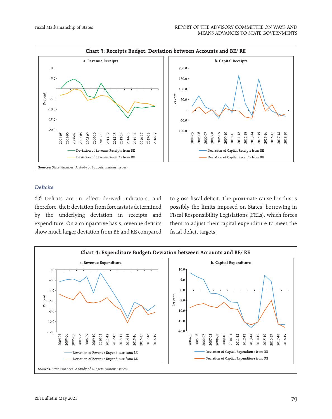

# **Deficits**

6.6 Deficits are in effect derived indicators, and therefore, their deviation from forecasts is determined by the underlying deviation in receipts and expenditure. On a comparative basis, revenue deficits show much larger deviation from BE and RE compared to gross fiscal deficit. The proximate cause for this is possibly the limits imposed on States' borrowing in Fiscal Responsibility Legislations (FRLs), which forces them to adjust their capital expenditure to meet the fiscal deficit targets.

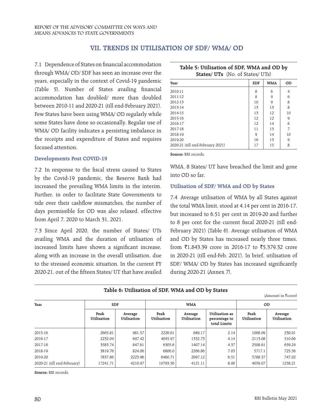# **VII. TRENDS IN UTILISATION OF SDF/ WMA/ OD**

7.1 Dependence of States on financial accommodation through WMA/ OD/ SDF has seen an increase over the years, especially in the context of Covid-19 pandemic (Table 5). Number of States availing financial accommodation has doubled/ more than doubled between 2010-11 and 2020-21 (till end-February 2021). Few States have been using WMA/ OD regularly while some States have done so occasionally. Regular use of WMA/ OD facility indicates a persisting imbalance in the receipts and expenditure of States and requires focused attention.

#### **Developments Post COVID-19**

7.2 In response to the fiscal stress caused to States by the Covid-19 pandemic, the Reserve Bank had increased the prevailing WMA limits in the interim. Further, in order to facilitate State Governments to tide over their cashflow mismatches, the number of days permissible for OD was also relaxed, effective from April 7, 2020 to March 31, 2021.

7.3 Since April 2020, the number of States/ UTs availing WMA and the duration of utilisation of increased limits have shown a significant increase, along with an increase in the overall utilisation, due to the stressed economic situation. In the current FY 2020-21, out of the fifteen States/ UT that have availed

| <b>States/ UTs</b> (No. of States/ UTs) |            |            |    |  |  |  |
|-----------------------------------------|------------|------------|----|--|--|--|
| Year                                    | <b>SDF</b> | <b>WMA</b> | OD |  |  |  |
| 2010-11                                 | 8          | 6          | 4  |  |  |  |
| 2011-12                                 | 8          | 9          | 6  |  |  |  |
| 2012-13                                 | 10         | 9          | 8  |  |  |  |
| 2013-14                                 | 13         | 13         | 8  |  |  |  |
| 2014-15                                 | 13         | 12         | 10 |  |  |  |
| 2015-16                                 | 12         | 12         | 9  |  |  |  |
| 2016-17                                 | 12         | 14         | 6  |  |  |  |
| 2017-18                                 | 11         | 13         | 7  |  |  |  |
| 2018-19                                 | 9          | 14         | 10 |  |  |  |
| 2019-20                                 | 16         | 13         | 9  |  |  |  |
| 2020-21 (till end-February 2021)        | 17         | 15         | 8  |  |  |  |

**Table 5: Utilisation of SDF, WMA and OD by** 

**Source:** RBI records.

WMA, 8 States/ UT have breached the limit and gone into OD so far.

#### **Utilisation of SDF/ WMA and OD by States**

7.4 Average utilisation of WMA by all States against the total WMA limit, stood at 4.14 per cent in 2016-17, but increased to 6.51 per cent in 2019-20 and further to 8 per cent for the current fiscal 2020-21 (till end-February 2021) (Table 6). Average utilisation of WMA and OD by States has increased nearly three times, from ₹1,843.39 crore in 2016-17 to ₹5,379.32 crore in 2020-21 (till end-Feb, 2021). In brief, utilisation of SDF/ WMA/ OD by States has increased significantly during 2020-21 (Annex 7).

| Table 6: Utilisation of SDF, WMA and OD by States |  |  |  |  |
|---------------------------------------------------|--|--|--|--|
|---------------------------------------------------|--|--|--|--|

(Amount in  $\bar{\tau}$ crore)

| Year                        | <b>SDF</b>          |                        | <b>WMA</b>          |                        |                                                 | OD                  |                        |
|-----------------------------|---------------------|------------------------|---------------------|------------------------|-------------------------------------------------|---------------------|------------------------|
|                             | Peak<br>Utilisation | Average<br>Utilisation | Peak<br>Utilisation | Average<br>Utilisation | Utilisation as<br>percentage to<br>total Limits | Peak<br>Utilisation | Average<br>Utilisation |
| 2015-16                     | 2665.81             | 981.57                 | 2226.61             | 689.17                 | 2.14                                            | 1068.09             | 230.01                 |
| 2016-17                     | 2232.04             | 697.42                 | 4045.97             | 1332.73                | 4.14                                            | 2113.08             | 510.66                 |
| 2017-18                     | 3583.74             | 847.61                 | 6305.6              | 1407.14                | 4.37                                            | 2508.61             | 639.24                 |
| 2018-19                     | 3819.76             | 824.06                 | 6806.0              | 2266.86                | 7.03                                            | 5717.1              | 725.56                 |
| 2019-20                     | 7837.86             | 2223.96                | 6460.71             | 2097.12                | 6.51                                            | 5788.37             | 747.02                 |
| 2020-21 (till end-February) | 17241.71            | 4210.97                | 10793.56            | 4121.11                | 8.00                                            | 4059.07             | 1258.21                |

**Source:** RBI records.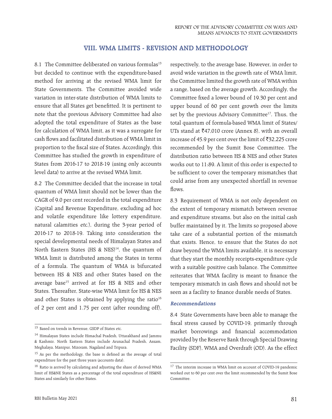# **VIII. WMA LIMITS - REVISION AND METHODOLOGY**

8.1 The Committee deliberated on various formulas<sup>13</sup> but decided to continue with the expenditure-based method for arriving at the revised WMA limit for State Governments. The Committee avoided wide variation in inter-state distribution of WMA limits to ensure that all States get benefitted. It is pertinent to note that the previous Advisory Committee had also adopted the total expenditure of States as the base for calculation of WMA limit, as it was a surrogate for cash flows and facilitated distribution of WMA limit in proportion to the fiscal size of States. Accordingly, this Committee has studied the growth in expenditure of States from 2016-17 to 2018-19 (using only accounts level data) to arrive at the revised WMA limit.

8.2 The Committee decided that the increase in total quantum of WMA limit should not be lower than the CAGR of 9.0 per cent recorded in the total expenditure (Capital and Revenue Expenditure, excluding ad hoc and volatile expenditure like lottery expenditure, natural calamities etc.), during the 3-year period of 2016-17 to 2018-19. Taking into consideration the special developmental needs of Himalayan States and North Eastern States (HS  $\&$  NES)<sup>14</sup>, the quantum of WMA limit is distributed among the States in terms of a formula. The quantum of WMA is bifurcated between HS & NES and other States based on the average base<sup>15</sup> arrived at for HS & NES and other States. Thereafter, State-wise WMA limit for HS & NES and other States is obtained by applying the ratio<sup>16</sup> of 2 per cent and 1.75 per cent (after rounding off), respectively, to the average base. However, in order to avoid wide variation in the growth rate of WMA limit, the Committee limited the growth rate of WMA within a range, based on the average growth. Accordingly, the Committee fixed a lower bound of 19.30 per cent and upper bound of 60 per cent growth over the limits set by the previous Advisory Committee<sup>17</sup>. Thus, the total quantum of formula-based WMA limit of States/ UTs stand at  $\text{\texttt{347}}$ ,010 crore (Annex 8), with an overall increase of 45.9 per cent over the limit of  $\bar{z}$ 32,225 crore recommended by the Sumit Bose Committee. The distribution ratio between HS & NES and other States works out to 11:89. A limit of this order is expected to be sufficient to cover the temporary mismatches that could arise from any unexpected shortfall in revenue flows.

8.3 Requirement of WMA is not only dependent on the extent of temporary mismatch between revenue and expenditure streams, but also on the initial cash buffer maintained by it. The limits so proposed above take care of a substantial portion of the mismatch that exists. Hence, to ensure that the States do not draw beyond the WMA limits available, it is necessary that they start the monthly receipts-expenditure cycle with a suitable positive cash balance. The Committee reiterates that WMA facility is meant to finance the temporary mismatch in cash flows and should not be seen as a facility to finance durable needs of States.

#### **Recommendations**

8.4 State Governments have been able to manage the fiscal stress caused by COVID-19, primarily through market borrowings and financial accommodation provided by the Reserve Bank through Special Drawing Facility (SDF), WMA and Overdraft (OD). As the effect

<sup>&</sup>lt;sup>13</sup> Based on trends in Revenue, GSDP of States etc.

<sup>14</sup> Himalayan States include Himachal Pradesh, Uttarakhand and Jammu & Kashmir. North Eastern States include Arunachal Pradesh, Assam, Meghalaya, Manipur, Mizoram, Nagaland and Tripura.

<sup>&</sup>lt;sup>15</sup> As per the methodology, the base is defined as the average of total expenditure for the past three years (accounts data).

<sup>16</sup> Ratio is arrived by calculating and adjusting the share of derived WMA limit of HS&NE States as a percentage of the total expenditure of HS&NE States and similarly for other States.

<sup>&</sup>lt;sup>17</sup> The interim increase in WMA limit on account of COVID-19 pandemic worked out to 60 per cent over the limit recommended by the Sumit Bose Committee.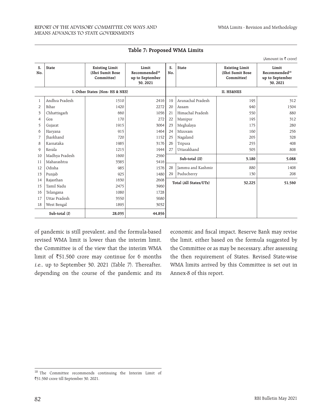|                             |                  |                                                         |                                                                  |           |                        |                                                         | (Amount in $\bar{\tau}$ crore)                                   |
|-----------------------------|------------------|---------------------------------------------------------|------------------------------------------------------------------|-----------|------------------------|---------------------------------------------------------|------------------------------------------------------------------|
| S.<br>No.                   | <b>State</b>     | <b>Existing Limit</b><br>(Shri Sumit Bose<br>Committee) | Limit<br>Recommended <sup>18</sup><br>up to September<br>30.2021 | S.<br>No. | <b>State</b>           | <b>Existing Limit</b><br>(Shri Sumit Bose<br>Committee) | Limit<br>Recommended <sup>18</sup><br>up to September<br>30.2021 |
|                             |                  | I. Other States (Non- HS & NES)                         |                                                                  |           |                        | <b>II. HS&amp;NES</b>                                   |                                                                  |
| $\mathbf{1}$                | Andhra Pradesh   | 1510                                                    | 2416                                                             | 19        | Arunachal Pradesh      | 195                                                     | 312                                                              |
| $\overline{2}$              | Bihar            | 1420                                                    | 2272                                                             | 20        | Assam                  | 940                                                     | 1504                                                             |
| $\overline{\mathbf{3}}$     | Chhattisgarh     | 660                                                     | 1056                                                             | 21        | Himachal Pradesh       | 550                                                     | 880                                                              |
| $\overline{4}$              | Goa              | 170                                                     | 272                                                              | 22        | Manipur                | 195                                                     | 312                                                              |
| 5                           | Gujarat          | 1915                                                    | 3064                                                             | 23        | Meghalaya              | 175                                                     | 280                                                              |
| 6                           | Haryana          | 915                                                     | 1464                                                             | 24        | Mizoram                | 160                                                     | 256                                                              |
| $\overline{7}$              | <b>Iharkhand</b> | 720                                                     | 1152                                                             | 25        | Nagaland               | 205                                                     | 328                                                              |
| $\mathcal{R}_{\mathcal{A}}$ | Karnataka        | 1985                                                    | 3176                                                             | 26        | Tripura                | 255                                                     | 408                                                              |
| $\mathsf Q$                 | Kerala           | 1215                                                    | 1944                                                             | 27        | Uttarakhand            | 505                                                     | 808                                                              |
| 10                          | Madhya Pradesh   | 1600                                                    | 2560                                                             |           | Sub-total (II)         | 3,180                                                   | 5,088                                                            |
| 11                          | Maharashtra      | 3385                                                    | 5416                                                             |           |                        |                                                         |                                                                  |
| 12                          | Odisha           | 985                                                     | 1576                                                             | 28        | Jammu and Kashmir      | 880                                                     | 1408                                                             |
| 13                          | Punjab           | 925                                                     | 1480                                                             | 29        | Puducherry             | 130                                                     | 208                                                              |
| 14                          | Rajasthan        | 1630                                                    | 2608                                                             |           | Total (All States/UTs) | 32,225                                                  | 51,560                                                           |
| 15                          | Tamil Nadu       | 2475                                                    | 3960                                                             |           |                        |                                                         |                                                                  |
| 16                          | Telangana        | 1080                                                    | 1728                                                             |           |                        |                                                         |                                                                  |
| 17                          | Uttar Pradesh    | 3550                                                    | 5680                                                             |           |                        |                                                         |                                                                  |
| 18                          | West Bengal      | 1895                                                    | 3032                                                             |           |                        |                                                         |                                                                  |
|                             | Sub-total (I)    | 28.035                                                  | 44.856                                                           |           |                        |                                                         |                                                                  |

|  |  | Table 7: Proposed WMA Limits |  |  |
|--|--|------------------------------|--|--|
|--|--|------------------------------|--|--|

of pandemic is still prevalent, and the formula-based revised WMA limit is lower than the interim limit, the Committee is of the view that the interim WMA limit of  $\overline{51,560}$  crore may continue for 6 months i.e., up to September 30, 2021 (Table 7). Thereafter, depending on the course of the pandemic and its

economic and fiscal impact, Reserve Bank may revise the limit, either based on the formula suggested by the Committee or as may be necessary, after assessing the then requirement of States. Revised State-wise WMA limits arrived by this Committee is set out in Annex-8 of this report.

<sup>18</sup> The Committee recommends continuing the Interim Limit of `51,560 crore till September 30, 2021.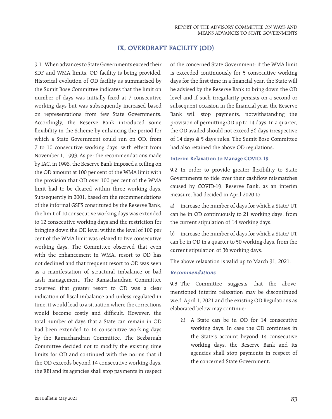# **IX. OVERDRAFT FACILITY (OD)**

9.1 When advances to State Governments exceed their SDF and WMA limits, OD facility is being provided. Historical evolution of OD facility as summarised by the Sumit Bose Committee indicates that the limit on number of days was initially fixed at 7 consecutive working days but was subsequently increased based on representations from few State Governments. Accordingly, the Reserve Bank introduced some flexibility in the Scheme by enhancing the period for which a State Government could run on OD, from 7 to 10 consecutive working days, with effect from November 1, 1993. As per the recommendations made by IAC, in 1998, the Reserve Bank imposed a ceiling on the OD amount at 100 per cent of the WMA limit with the provision that OD over 100 per cent of the WMA limit had to be cleared within three working days. Subsequently in 2001, based on the recommendations of the informal GSFS constituted by the Reserve Bank, the limit of 10 consecutive working days was extended to 12 consecutive working days and the restriction for bringing down the OD level within the level of 100 per cent of the WMA limit was relaxed to five consecutive working days. The Committee observed that even with the enhancement in WMA, resort to OD has not declined and that frequent resort to OD was seen as a manifestation of structural imbalance or bad cash management. The Ramachandran Committee observed that greater resort to OD was a clear indication of fiscal imbalance and unless regulated in time, it would lead to a situation where the corrections would become costly and difficult. However, the total number of days that a State can remain in OD had been extended to 14 consecutive working days by the Ramachandran Committee. The Bezbaruah Committee decided not to modify the existing time limits for OD and continued with the norms that if the OD exceeds beyond 14 consecutive working days, the RBI and its agencies shall stop payments in respect

of the concerned State Government; if the WMA limit is exceeded continuously for 5 consecutive working days for the first time in a financial year, the State will be advised by the Reserve Bank to bring down the OD level and if such irregularity persists on a second or subsequent occasion in the financial year, the Reserve Bank will stop payments, notwithstanding the provision of permitting OD up to 14 days. In a quarter, the OD availed should not exceed 36 days irrespective of 14 days & 5 days rules. The Sumit Bose Committee had also retained the above OD regulations.

#### **Interim Relaxation to Manage COVID-19**

9.2 In order to provide greater flexibility to State Governments to tide over their cashflow mismatches caused by COVID-19, Reserve Bank, as an interim measure, had decided in April 2020 to

a) increase the number of days for which a State/ UT can be in OD continuously to 21 working days, from the current stipulation of 14 working days.

b) increase the number of days for which a State/ UT can be in OD in a quarter to 50 working days, from the current stipulation of 36 working days.

The above relaxation is valid up to March 31, 2021.

#### **Recommendations**

9.3 The Committee suggests that the abovementioned interim relaxation may be discontinued w.e.f. April 1, 2021 and the existing OD Regulations as elaborated below may continue:

(i) A State can be in OD for 14 consecutive working days. In case the OD continues in the State's account beyond 14 consecutive working days, the Reserve Bank and its agencies shall stop payments in respect of the concerned State Government.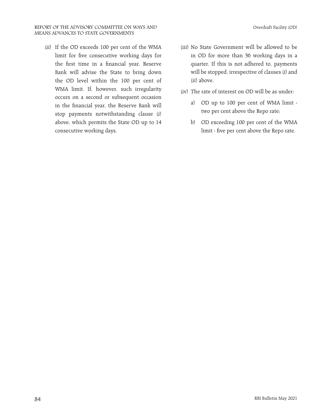(ii) If the OD exceeds 100 per cent of the WMA limit for five consecutive working days for the first time in a financial year, Reserve Bank will advise the State to bring down the OD level within the 100 per cent of WMA limit. If, however, such irregularity occurs on a second or subsequent occasion in the financial year, the Reserve Bank will stop payments notwithstanding clause (i) above, which permits the State OD up to 14 consecutive working days.

- (iii) No State Government will be allowed to be in OD for more than 36 working days in a quarter. If this is not adhered to, payments will be stopped, irrespective of clauses (i) and (ii) above.
- (iv) The rate of interest on OD will be as under:
	- a) OD up to 100 per cent of WMA limit two per cent above the Repo rate;
	- b) OD exceeding 100 per cent of the WMA limit - five per cent above the Repo rate.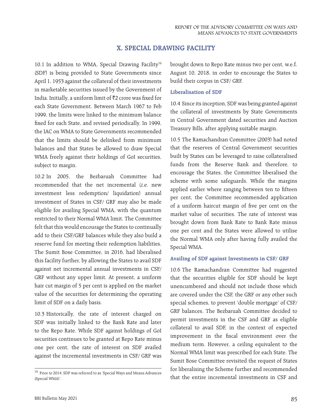# **X. SPECIAL DRAWING FACILITY**

10.1 In addition to WMA, Special Drawing Facility<sup>19</sup> (SDF) is being provided to State Governments since April 1, 1953 against the collateral of their investments in marketable securities issued by the Government of India. Initially, a uniform limit of  $\bar{z}$ 2 crore was fixed for each State Government. Between March 1967 to Feb 1999, the limits were linked to the minimum balance fixed for each State, and revised periodically. In 1999, the IAC on WMA to State Governments recommended that the limits should be delinked from minimum balances and that States be allowed to draw Special WMA freely against their holdings of GoI securities, subject to margin.

10.2 In 2005, the Bezbaruah Committee had recommended that the net incremental (i.e. new investment less redemption/ liquidation) annual investment of States in CSF/ GRF may also be made eligible for availing Special WMA, with the quantum restricted to their Normal WMA limit. The Committee felt that this would encourage the States to continually add to their CSF/GRF balances while they also build a reserve fund for meeting their redemption liabilities. The Sumit Bose Committee, in 2016, had liberalised this facility further, by allowing the States to avail SDF against net incremental annual investments in CSF/ GRF without any upper limit. At present, a uniform hair cut margin of 5 per cent is applied on the market value of the securities for determining the operating limit of SDF on a daily basis.

10.3 Historically, the rate of interest charged on SDF was initially linked to the Bank Rate and later to the Repo Rate. While SDF against holdings of GoI securities continues to be granted at Repo Rate minus one per cent, the rate of interest on SDF availed against the incremental investments in CSF/ GRF was

brought down to Repo Rate minus two per cent, w.e.f. August 10, 2018, in order to encourage the States to build their corpus in CSF/ GRF.

#### **Liberalisation of SDF**

10.4 Since its inception, SDF was being granted against the collateral of investments by State Governments in Central Government dated securities and Auction Treasury Bills, after applying suitable margin.

10.5 The Ramachandran Committee (2003) had noted that the reserves of Central Government securities built by States can be leveraged to raise collateralised funds from the Reserve Bank and therefore, to encourage the States, the Committee liberalised the scheme with some safeguards. While the margins applied earlier where ranging between ten to fifteen per cent, the Committee recommended application of a uniform haircut margin of five per cent on the market value of securities. The rate of interest was brought down from Bank Rate to Bank Rate minus one per cent and the States were allowed to utilise the Normal WMA only after having fully availed the Special WMA.

# **Availing of SDF against Investments in CSF/ GRF**

10.6 The Ramachandran Committee had suggested that the securities eligible for SDF should be kept unencumbered and should not include those which are covered under the CSF, the GRF or any other such special schemes, to prevent 'double mortgage' of CSF/ GRF balances. The Bezbaruah Committee decided to permit investments in the CSF and GRF as eligible collateral to avail SDF, in the context of expected improvement in the fiscal environment over the medium term. However, a ceiling equivalent to the Normal WMA limit was prescribed for each State. The Sumit Bose Committee revisited the request of States for liberalising the Scheme further and recommended that the entire incremental investments in CSF and

<sup>19</sup> Prior to 2014, SDF was referred to as 'Special Ways and Means Advances (Special WMA)'.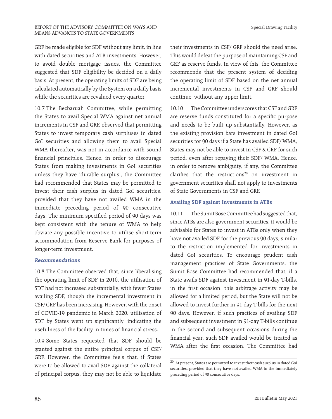#### REPORT OF THE ADVISORY COMMITTEE ON WAYS AND MEANS ADVANCES TO STATE GOVERNMENTS

GRF be made eligible for SDF without any limit, in line with dated securities and ATB investments. However, to avoid double mortgage issues, the Committee suggested that SDF eligibility be decided on a daily basis. At present, the operating limits of SDF are being calculated automatically by the System on a daily basis while the securities are revalued every quarter.

10.7 The Bezbaruah Committee, while permitting the States to avail Special WMA against net annual increments in CSF and GRF, observed that permitting States to invest temporary cash surpluses in dated GoI securities and allowing them to avail Special WMA thereafter, was not in accordance with sound financial principles. Hence, in order to discourage States from making investments in GoI securities unless they have 'durable surplus', the Committee had recommended that States may be permitted to invest their cash surplus in dated GoI securities, provided that they have not availed WMA in the immediate preceding period of 90 consecutive days. The minimum specified period of 90 days was kept consistent with the tenure of WMA to help obviate any possible incentive to utilise short-term accommodation from Reserve Bank for purposes of longer-term investment.

#### **Recommendations**

10.8 The Committee observed that, since liberalising the operating limit of SDF in 2016, the utilisation of SDF had not increased substantially, with fewer States availing SDF, though the incremental investment in CSF/ GRF has been increasing. However, with the onset of COVID-19 pandemic in March 2020, utilisation of SDF by States went up significantly, indicating the usefulness of the facility in times of financial stress.

10.9 Some States requested that SDF should be granted against the entire principal corpus of CSF/ GRF. However, the Committee feels that, if States were to be allowed to avail SDF against the collateral of principal corpus, they may not be able to liquidate their investments in CSF/ GRF should the need arise. This would defeat the purpose of maintaining CSF and GRF as reserve funds. In view of this, the Committee recommends that the present system of deciding the operating limit of SDF based on the net annual incremental investments in CSF and GRF should continue, without any upper limit.

10.10 The Committee underscores that CSF and GRF are reserve funds constituted for a specific purpose and needs to be built up substantially. However, as the existing provision bars investment in dated GoI securities for 90 days if a State has availed SDF/ WMA, States may not be able to invest in CSF & GRF for such period, even after repaying their SDF/ WMA. Hence, in order to remove ambiguity, if any, the Committee clarifies that the restrictions<sup>20</sup> on investment in government securities shall not apply to investments of State Governments in CSF and GRF.

#### **Availing SDF against Investments in ATBs**

10.11 The Sumit Bose Committee had suggested that, since ATBs are also government securities, it would be advisable for States to invest in ATBs only when they have not availed SDF for the previous 90 days, similar to the restriction implemented for investments in dated GoI securities. To encourage prudent cash management practices of State Governments, the Sumit Bose Committee had recommended that, if a State avails SDF against investment in 91-day T-bills, in the first occasion, this arbitrage activity may be allowed for a limited period, but the State will not be allowed to invest further in 91-day T-bills for the next 90 days. However, if such practices of availing SDF and subsequent investment in 91-day T-bills continue in the second and subsequent occasions during the financial year, such SDF availed would be treated as WMA after the first occasion. The Committee had

 $^{\rm 20}$  At present, States are permitted to invest their cash surplus in dated GoI securities, provided that they have not availed WMA in the immediately preceding period of 90 consecutive days.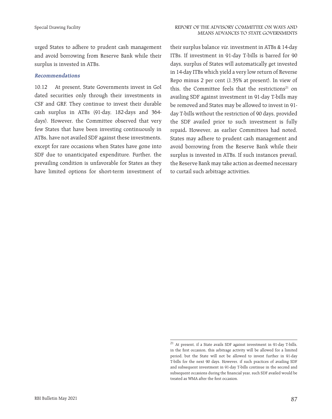urged States to adhere to prudent cash management and avoid borrowing from Reserve Bank while their surplus is invested in ATBs.

#### **Recommendations**

10.12 At present, State Governments invest in GoI dated securities only through their investments in CSF and GRF. They continue to invest their durable cash surplus in ATBs (91-day, 182-days and 364 days). However, the Committee observed that very few States that have been investing continuously in ATBs, have not availed SDF against these investments, except for rare occasions when States have gone into SDF due to unanticipated expenditure. Further, the prevailing condition is unfavorable for States as they have limited options for short-term investment of their surplus balance viz. investment in ATBs & 14-day ITBs. If investment in 91-day T-bills is barred for 90 days, surplus of States will automatically get invested in 14-day ITBs which yield a very low return of Reverse Repo minus 2 per cent (1.35% at present). In view of this, the Committee feels that the restrictions<sup>21</sup> on availing SDF against investment in 91-day T-bills may be removed and States may be allowed to invest in 91 day T-bills without the restriction of 90 days, provided the SDF availed prior to such investment is fully repaid**.** However, as earlier Committees had noted, States may adhere to prudent cash management and avoid borrowing from the Reserve Bank while their surplus is invested in ATBs. If such instances prevail, the Reserve Bank may take action as deemed necessary to curtail such arbitrage activities.

<sup>21</sup> At present, if a State avails SDF against investment in 91-day T-bills, in the first occasion, this arbitrage activity will be allowed for a limited period, but the State will not be allowed to invest further in 91-day T-bills for the next 90 days. However, if such practices of availing SDF and subsequent investment in 91-day T-bills continue in the second and subsequent occasions during the financial year, such SDF availed would be treated as WMA after the first occasion.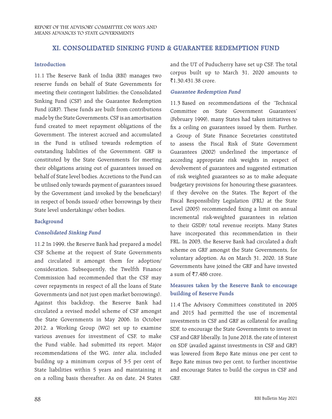# **XI. CONSOLIDATED SINKING FUND & GUARANTEE REDEMPTION FUND**

#### **Introduction**

11.1 The Reserve Bank of India (RBI) manages two reserve funds on behalf of State Governments for meeting their contingent liabilities; the Consolidated Sinking Fund (CSF) and the Guarantee Redemption Fund (GRF). These funds are built from contributions made by the State Governments. CSF is an amortisation fund created to meet repayment obligations of the Government. The interest accrued and accumulated in the Fund is utilised towards redemption of outstanding liabilities of the Government. GRF is constituted by the State Governments for meeting their obligations arising out of guarantees issued on behalf of State level bodies. Accretions to the Fund can be utilised only towards payment of guarantees issued by the Government (and invoked by the beneficiary) in respect of bonds issued/ other borrowings by their State level undertakings/ other bodies.

#### **Background**

#### **Consolidated Sinking Fund**

11.2 In 1999, the Reserve Bank had prepared a model CSF Scheme at the request of State Governments and circulated it amongst them for adoption/ consideration. Subsequently, the Twelfth Finance Commission had recommended that the CSF may cover repayments in respect of all the loans of State Governments (and not just open market borrowings). Against this backdrop, the Reserve Bank had circulated a revised model scheme of CSF amongst the State Governments in May 2006. In October 2012, a Working Group (WG) set up to examine various avenues for investment of CSF, to make the Fund viable, had submitted its report. Major recommendations of the WG, inter alia, included building up a minimum corpus of 3-5 per cent of State liabilities within 5 years and maintaining it on a rolling basis thereafter. As on date, 24 States

and the UT of Puducherry have set up CSF. The total corpus built up to March 31, 2020 amounts to ₹1,30,431.38 crore.

#### **Guarantee Redemption Fund**

11.3 Based on recommendations of the 'Technical Committee on State Government Guarantees' (February 1999), many States had taken initiatives to fix a ceiling on guarantees issued by them. Further, a Group of State Finance Secretaries constituted to assess the Fiscal Risk of State Government Guarantees (2002) underlined the importance of according appropriate risk weights in respect of devolvement of guarantees and suggested estimation of risk weighted guarantees so as to make adequate budgetary provisions for honouring these guarantees, if they devolve on the States. The Report of the Fiscal Responsibility Legislation (FRL) at the State Level (2005) recommended fixing a limit on annual incremental risk-weighted guarantees in relation to their GSDP/ total revenue receipts. Many States have incorporated this recommendation in their FRL. In 2003, the Reserve Bank had circulated a draft scheme on GRF amongst the State Governments, for voluntary adoption. As on March 31, 2020, 18 State Governments have joined the GRF and have invested a sum of  $\overline{57,486}$  crore.

# **Measures taken by the Reserve Bank to encourage building of Reserve Funds**

11.4 The Advisory Committees constituted in 2005 and 2015 had permitted the use of incremental investments in CSF and GRF as collateral for availing SDF, to encourage the State Governments to invest in CSF and GRF liberally. In June 2018, the rate of interest on SDF (availed against investments in CSF and GRF) was lowered from Repo Rate minus one per cent to Repo Rate minus two per cent, to further incentivise and encourage States to build the corpus in CSF and GRF.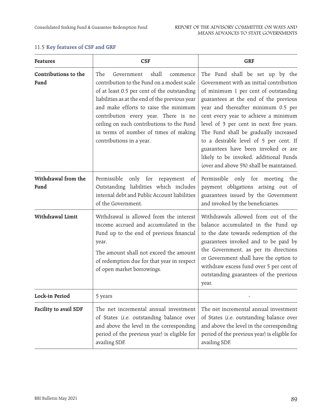| <b>Features</b>              | <b>CSF</b>                                                                                                                                                                                                                                                                                                                                                                               | <b>GRF</b>                                                                                                                                                                                                                                                                                                                                                                                                                                                                                            |  |  |  |
|------------------------------|------------------------------------------------------------------------------------------------------------------------------------------------------------------------------------------------------------------------------------------------------------------------------------------------------------------------------------------------------------------------------------------|-------------------------------------------------------------------------------------------------------------------------------------------------------------------------------------------------------------------------------------------------------------------------------------------------------------------------------------------------------------------------------------------------------------------------------------------------------------------------------------------------------|--|--|--|
| Contributions to the<br>Fund | shall<br>The<br>Government<br>commence<br>contribution to the Fund on a modest scale<br>of at least 0.5 per cent of the outstanding<br>liabilities as at the end of the previous year<br>and make efforts to raise the minimum<br>contribution every year. There is no<br>ceiling on such contributions to the Fund<br>in terms of number of times of making<br>contributions in a year. | The Fund shall be set up by the<br>Government with an initial contribution<br>of minimum 1 per cent of outstanding<br>guarantees at the end of the previous<br>year and thereafter minimum 0.5 per<br>cent every year to achieve a minimum<br>level of 3 per cent in next five years.<br>The Fund shall be gradually increased<br>to a desirable level of 5 per cent. If<br>guarantees have been invoked or are<br>likely to be invoked, additional Funds<br>(over and above 5%) shall be maintained. |  |  |  |
| Withdrawal from the<br>Fund  | Permissible<br>only for repayment<br>of<br>Outstanding liabilities which includes<br>internal debt and Public Account liabilities<br>of the Government.                                                                                                                                                                                                                                  | Permissible only for meeting<br>the<br>payment obligations arising out of<br>guarantees issued by the Government<br>and invoked by the beneficiaries.                                                                                                                                                                                                                                                                                                                                                 |  |  |  |
| Withdrawal Limit             | Withdrawal is allowed from the interest<br>income accrued and accumulated in the<br>Fund up to the end of previous financial<br>year.<br>The amount shall not exceed the amount<br>of redemption due for that year in respect<br>of open market borrowings.                                                                                                                              | Withdrawals allowed from out of the<br>balance accumulated in the Fund up<br>to the date towards redemption of the<br>guarantees invoked and to be paid by<br>the Government, as per its directions<br>or Government shall have the option to<br>withdraw excess fund over 5 per cent of<br>outstanding guarantees of the previous<br>year.                                                                                                                                                           |  |  |  |
| Lock-in Period               | 5 years                                                                                                                                                                                                                                                                                                                                                                                  |                                                                                                                                                                                                                                                                                                                                                                                                                                                                                                       |  |  |  |
| Facility to avail SDF        | The net incremental annual investment<br>of States (i.e. outstanding balance over<br>and above the level in the corresponding<br>period of the previous year) is eligible for<br>availing SDF.                                                                                                                                                                                           | The net incremental annual investment<br>of States (i.e. outstanding balance over<br>and above the level in the corresponding<br>period of the previous year) is eligible for<br>availing SDF.                                                                                                                                                                                                                                                                                                        |  |  |  |

# 11.5 **Key features of CSF and GRF**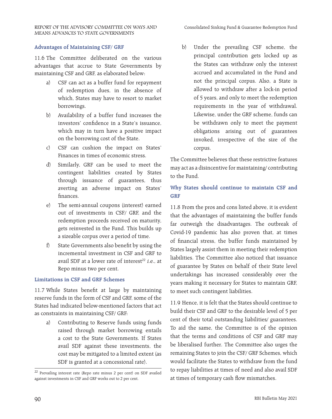#### REPORT OF THE ADVISORY COMMITTEE ON WAYS AND MEANS ADVANCES TO STATE GOVERNMENTS

# **Advantages of Maintaining CSF/ GRF**

11.6 The Committee deliberated on the various advantages that accrue to State Governments by maintaining CSF and GRF, as elaborated below:

- a) CSF can act as a buffer fund for repayment of redemption dues, in the absence of which, States may have to resort to market borrowings.
- b) Availability of a buffer fund increases the investors' confidence in a State's issuance, which may in turn have a positive impact on the borrowing cost of the State.
- c) CSF can cushion the impact on States' Finances in times of economic stress.
- d) Similarly, GRF can be used to meet the contingent liabilities created by States through issuance of guarantees, thus averting an adverse impact on States' finances.
- e) The semi-annual coupons (interest) earned out of investments in CSF/ GRF, and the redemption proceeds received on maturity, gets reinvested in the Fund. This builds up a sizeable corpus over a period of time.
- f) State Governments also benefit by using the incremental investment in CSF and GRF to avail SDF at a lower rate of interest<sup>22</sup> *i.e.*, at Repo minus two per cent.

#### **Limitations in CSF and GRF Schemes**

11.7 While States benefit at large by maintaining reserve funds in the form of CSF and GRF, some of the States had indicated below-mentioned factors that act as constraints in maintaining CSF/ GRF:

a) Contributing to Reserve funds using funds raised through market borrowing entails a cost to the State Governments. If States avail SDF against these investments, the cost may be mitigated to a limited extent (as SDF is granted at a concessional rate).

b) Under the prevailing CSF scheme, the principal contribution gets locked up as the States can withdraw only the interest accrued and accumulated in the Fund and not the principal corpus. Also, a State is allowed to withdraw after a lock-in period of 5 years, and only to meet the redemption requirements in the year of withdrawal. Likewise, under the GRF scheme, funds can be withdrawn only to meet the payment obligations arising out of guarantees invoked, irrespective of the size of the corpus.

The Committee believes that these restrictive features may act as a disincentive for maintaining/ contributing to the Fund.

# **Why States should continue to maintain CSF and GRF**

11.8 From the pros and cons listed above, it is evident that the advantages of maintaining the buffer funds far outweigh the disadvantages. The outbreak of Covid-19 pandemic has also proven that, at times of financial stress, the buffer funds maintained by States largely assist them in meeting their redemption liabilities. The Committee also noticed that issuance of guarantee by States on behalf of their State level undertakings has increased considerably over the years making it necessary for States to maintain GRF, to meet such contingent liabilities.

11.9 Hence, it is felt that the States should continue to build their CSF and GRF to the desirable level of 5 per cent of their total outstanding liabilities/ guarantees. To aid the same, the Committee is of the opinion that the terms and conditions of CSF and GRF may be liberalised further. The Committee also urges the remaining States to join the CSF/ GRF Schemes, which would facilitate the States to withdraw from the fund to repay liabilities at times of need and also avail SDF at times of temporary cash flow mismatches.

<sup>22</sup> Prevailing interest rate (Repo rate minus 2 per cent) on SDF availed against investments in CSF and GRF works out to 2 per cent.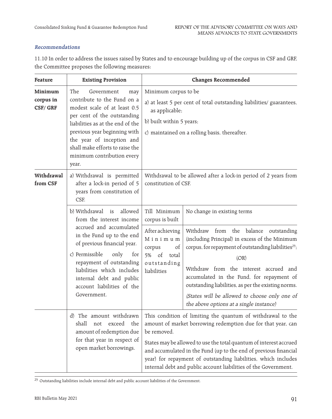# **Recommendations**

11.10 In order to address the issues raised by States and to encourage building up of the corpus in CSF and GRF, the Committee proposes the following measures:

| Feature                         | <b>Existing Provision</b>                                                                                                                                                                                                                                                                                          |                                                                                                                                                                                                                                                                                                                                                                                                                                                                                                                                                                               | <b>Changes Recommended</b>                                      |  |  |  |
|---------------------------------|--------------------------------------------------------------------------------------------------------------------------------------------------------------------------------------------------------------------------------------------------------------------------------------------------------------------|-------------------------------------------------------------------------------------------------------------------------------------------------------------------------------------------------------------------------------------------------------------------------------------------------------------------------------------------------------------------------------------------------------------------------------------------------------------------------------------------------------------------------------------------------------------------------------|-----------------------------------------------------------------|--|--|--|
| Minimum<br>corpus in<br>CSF/GRF | The<br>Government<br>may<br>contribute to the Fund on a<br>modest scale of at least 0.5<br>per cent of the outstanding<br>liabilities as at the end of the<br>previous year beginning with<br>the year of inception and<br>shall make efforts to raise the<br>minimum contribution every<br>year.                  | Minimum corpus to be<br>a) at least 5 per cent of total outstanding liabilities/ guarantees,<br>as applicable;<br>b) built within 5 years;<br>c) maintained on a rolling basis, thereafter.                                                                                                                                                                                                                                                                                                                                                                                   |                                                                 |  |  |  |
| Withdrawal<br>from CSF          | a) Withdrawal is permitted<br>after a lock-in period of 5<br>years from constitution of<br>CSF.                                                                                                                                                                                                                    | constitution of CSF.                                                                                                                                                                                                                                                                                                                                                                                                                                                                                                                                                          | Withdrawal to be allowed after a lock-in period of 2 years from |  |  |  |
|                                 | b) Withdrawal is<br>allowed<br>from the interest income<br>accrued and accumulated<br>in the Fund up to the end<br>of previous financial year.<br>c) Permissible<br>only<br>for<br>repayment of outstanding<br>liabilities which includes<br>internal debt and public<br>account liabilities of the<br>Government. | Till Minimum<br>No change in existing terms<br>corpus is built<br>After achieving<br>Withdraw from the balance outstanding<br>Minimum<br>(including Principal) in excess of the Minimum<br>corpus, for repayment of outstanding liabilities <sup>23</sup> ;<br>of<br>corpus<br>of total<br>5%<br>(OR)<br>outstanding<br>Withdraw from the interest accrued and<br>liabilities<br>accumulated in the Fund, for repayment of<br>outstanding liabilities, as per the existing norms.<br>(States will be allowed to choose only one of<br>the above options at a single instance) |                                                                 |  |  |  |
|                                 | d) The amount withdrawn<br>exceed the<br>shall<br>not<br>amount of redemption due<br>for that year in respect of<br>open market borrowings.                                                                                                                                                                        | This condition of limiting the quantum of withdrawal to the<br>amount of market borrowing redemption due for that year, can<br>be removed.<br>States may be allowed to use the total quantum of interest accrued<br>and accumulated in the Fund (up to the end of previous financial<br>year) for repayment of outstanding liabilities, which includes<br>internal debt and public account liabilities of the Government.                                                                                                                                                     |                                                                 |  |  |  |

 $^\mathrm{23}$  Outstanding liabilities include internal debt and public account liabilities of the Government.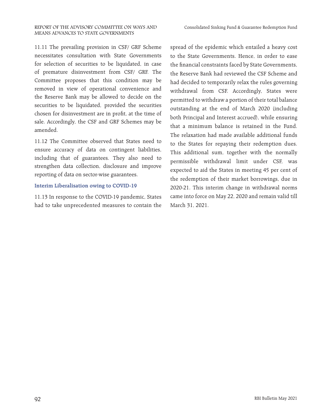11.11 The prevailing provision in CSF/ GRF Scheme necessitates consultation with State Governments for selection of securities to be liquidated, in case of premature disinvestment from CSF/ GRF. The Committee proposes that this condition may be removed in view of operational convenience and the Reserve Bank may be allowed to decide on the securities to be liquidated, provided the securities chosen for disinvestment are in profit, at the time of sale. Accordingly, the CSF and GRF Schemes may be amended.

11.12 The Committee observed that States need to ensure accuracy of data on contingent liabilities, including that of guarantees. They also need to strengthen data collection, disclosure and improve reporting of data on sector-wise guarantees.

#### **Interim Liberalisation owing to COVID-19**

11.13 In response to the COVID-19 pandemic, States had to take unprecedented measures to contain the

spread of the epidemic which entailed a heavy cost to the State Governments. Hence, in order to ease the financial constraints faced by State Governments, the Reserve Bank had reviewed the CSF Scheme and had decided to temporarily relax the rules governing withdrawal from CSF. Accordingly, States were permitted to withdraw a portion of their total balance outstanding at the end of March 2020 (including both Principal and Interest accrued), while ensuring that a minimum balance is retained in the Fund. The relaxation had made available additional funds to the States for repaying their redemption dues. This additional sum, together with the normally permissible withdrawal limit under CSF, was expected to aid the States in meeting 45 per cent of the redemption of their market borrowings, due in 2020-21. This interim change in withdrawal norms came into force on May 22, 2020 and remain valid till March 31, 2021.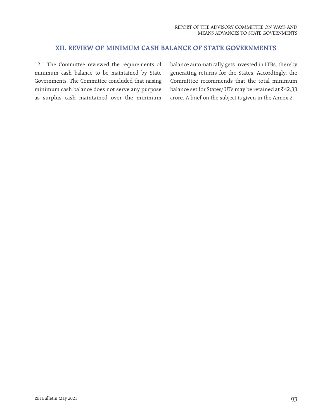# **XII. REVIEW OF MINIMUM CASH BALANCE OF STATE GOVERNMENTS**

12.1 The Committee reviewed the requirements of minimum cash balance to be maintained by State Governments. The Committee concluded that raising minimum cash balance does not serve any purpose as surplus cash maintained over the minimum

balance automatically gets invested in ITBs, thereby generating returns for the States. Accordingly, the Committee recommends that the total minimum balance set for States/ UTs may be retained at  $\bar{e}42.33$ crore. A brief on the subject is given in the Annex-2.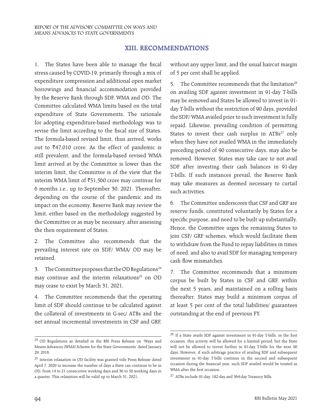# **XIII. RECOMMENDATIONS**

1. The States have been able to manage the fiscal stress caused by COVID-19, primarily through a mix of expenditure compression and additional open market borrowings and financial accommodation provided by the Reserve Bank through SDF, WMA and OD. The Committee calculated WMA limits based on the total expenditure of State Governments. The rationale for adopting expenditure-based methodology was to revise the limit according to the fiscal size of States. The formula-based revised limit, thus arrived, works out to  $\bar{z}$ 47,010 crore. As the effect of pandemic is still prevalent, and the formula-based revised WMA limit arrived at by the Committee is lower than the interim limit, the Committee is of the view that the interim WMA limit of  $\text{\textsterling}51,560$  crore may continue for 6 months i.e., up to September 30, 2021. Thereafter, depending on the course of the pandemic and its impact on the economy, Reserve Bank may review the limit, either based on the methodology suggested by the Committee or as may be necessary, after assessing the then requirement of States.

2. The Committee also recommends that the prevailing interest rate on SDF/ WMA/ OD may be retained.

3. The Committee proposes that the OD Regulations<sup>24</sup> may continue and the interim relaxations<sup>25</sup> on OD may cease to exist by March 31, 2021.

4. The Committee recommends that the operating limit of SDF should continue to be calculated against the collateral of investments in G-sec/ ATBs and the net annual incremental investments in CSF and GRF,

without any upper limit, and the usual haircut margin of 5 per cent shall be applied.

5. The Committee recommends that the limitation<sup>26</sup> on availing SDF against investment in 91-day T-bills may be removed and States be allowed to invest in 91 day T-bills without the restriction of 90 days, provided the SDF/ WMA availed prior to such investment is fully repaid. Likewise, prevailing condition of permitting States to invest their cash surplus in  $ATBs^{27}$  only when they have not availed WMA in the immediately preceding period of 90 consecutive days, may also be removed. However, States may take care to not avail SDF after investing their cash balances in 91-day T-bills. If such instances prevail, the Reserve Bank may take measures as deemed necessary to curtail such activities.

6. The Committee underscores that CSF and GRF are reserve funds, constituted voluntarily by States for a specific purpose, and need to be built up substantially. Hence, the Committee urges the remaining States to join CSF/ GRF schemes, which would facilitate them to withdraw from the Fund to repay liabilities in times of need, and also to avail SDF for managing temporary cash flow mismatches.

7. The Committee recommends that a minimum corpus be built by States in CSF and GRF, within the next 5 years, and maintained on a rolling basis thereafter. States may build a minimum corpus of at least 5 per cent of the total liabilities/ guarantees outstanding at the end of previous FY.

<sup>24</sup> OD Regulations as detailed in the RBI Press Release on 'Ways and Means Advances (WMA) Scheme for the State Governments' dated January 29, 2016.

<sup>25</sup> Interim relaxation in OD facility was granted vide Press Release dated April 7, 2020 to increase the number of days a State can continue to be in OD, from 14 to 21 consecutive working days and 36 to 50 working days in a quarter. This relaxation will be valid up to March 31, 2021.

<sup>26</sup> If a State avails SDF against investment in 91-day T-bills, in the first occasion, this activity will be allowed for a limited period, but the State will not be allowed to invest further in 91-day T-bills for the next 90 days. However, if such arbitrage practice of availing SDF and subsequent investment in 91-day T-bills continue in the second and subsequent occasion during the financial year, such SDF availed would be treated as WMA after the first occasion.

<sup>27</sup> ATBs include 91-day, 182-day and 364-day Treasury Bills.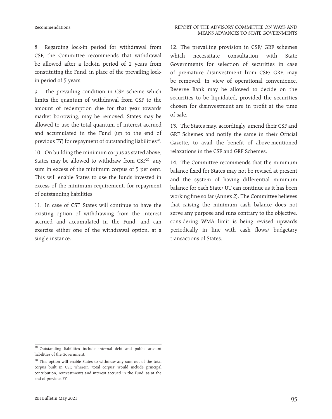8. Regarding lock-in period for withdrawal from CSF, the Committee recommends that withdrawal be allowed after a lock-in period of 2 years from constituting the Fund, in place of the prevailing lockin period of 5 years.

9. The prevailing condition in CSF scheme which limits the quantum of withdrawal from CSF to the amount of redemption due for that year towards market borrowing, may be removed. States may be allowed to use the total quantum of interest accrued and accumulated in the Fund (up to the end of previous FY) for repayment of outstanding liabilities<sup>28</sup>.

10. On building the minimum corpus as stated above, States may be allowed to withdraw from  $CSF^{29}$ , any sum in excess of the minimum corpus of 5 per cent. This will enable States to use the funds invested in excess of the minimum requirement, for repayment of outstanding liabilities.

11. In case of CSF, States will continue to have the existing option of withdrawing from the interest accrued and accumulated in the Fund, and can exercise either one of the withdrawal option, at a single instance.

12. The prevailing provision in CSF/ GRF schemes which necessitate consultation with State Governments for selection of securities in case of premature disinvestment from CSF/ GRF, may be removed, in view of operational convenience. Reserve Bank may be allowed to decide on the securities to be liquidated, provided the securities chosen for disinvestment are in profit at the time of sale.

13. The States may, accordingly, amend their CSF and GRF Schemes and notify the same in their Official Gazette, to avail the benefit of above-mentioned relaxations in the CSF and GRF Schemes.

14. The Committee recommends that the minimum balance fixed for States may not be revised at present and the system of having differential minimum balance for each State/ UT can continue as it has been working fine so far (Annex 2). The Committee believes that raising the minimum cash balance does not serve any purpose and runs contrary to the objective, considering WMA limit is being revised upwards periodically in line with cash flows/ budgetary transactions of States.

<sup>28</sup> Outstanding liabilities include internal debt and public account liabilities of the Government.

<sup>&</sup>lt;sup>29</sup> This option will enable States to withdraw any sum out of the total corpus built in CSF, wherein 'total corpus' would include principal contribution, reinvestments and interest accrued in the Fund, as at the end of previous FY.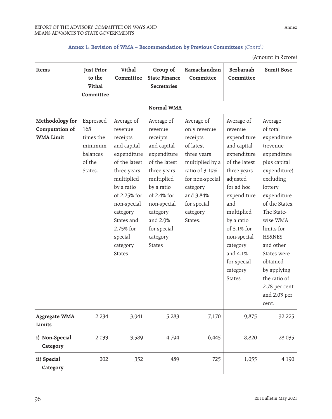# **Annex 1: Revision of WMA – Recommendation by Previous Committees** (Contd.)

(Amount in  $\bar{\bar{\mathfrak{k}}}$ crore)

| Items                                                 | <b>Just Prior</b><br>to the<br>Vithal<br>Committee                        | Vithal<br>Committee                                                                                                                                                                                                                       | Group of<br><b>State Finance</b><br><b>Secretaries</b>                                                                                                                                                                        | Ramachandran<br>Committee                                                                                                                                                                 | Bezbaruah<br>Committee                                                                                                                                                                                                                                                           | <b>Sumit Bose</b>                                                                                                                                                                                                                                                                                                                    |  |  |  |  |  |
|-------------------------------------------------------|---------------------------------------------------------------------------|-------------------------------------------------------------------------------------------------------------------------------------------------------------------------------------------------------------------------------------------|-------------------------------------------------------------------------------------------------------------------------------------------------------------------------------------------------------------------------------|-------------------------------------------------------------------------------------------------------------------------------------------------------------------------------------------|----------------------------------------------------------------------------------------------------------------------------------------------------------------------------------------------------------------------------------------------------------------------------------|--------------------------------------------------------------------------------------------------------------------------------------------------------------------------------------------------------------------------------------------------------------------------------------------------------------------------------------|--|--|--|--|--|
| Normal WMA                                            |                                                                           |                                                                                                                                                                                                                                           |                                                                                                                                                                                                                               |                                                                                                                                                                                           |                                                                                                                                                                                                                                                                                  |                                                                                                                                                                                                                                                                                                                                      |  |  |  |  |  |
| Methodology for<br>Computation of<br><b>WMA Limit</b> | Expressed<br>168<br>times the<br>minimum<br>balances<br>of the<br>States. | Average of<br>revenue<br>receipts<br>and capital<br>expenditure<br>of the latest<br>three years<br>multiplied<br>by a ratio<br>of 2.25% for<br>non-special<br>category<br>States and<br>2.75% for<br>special<br>category<br><b>States</b> | Average of<br>revenue<br>receipts<br>and capital<br>expenditure<br>of the latest<br>three years<br>multiplied<br>by a ratio<br>of 2.4% for<br>non-special<br>category<br>and 2.9%<br>for special<br>category<br><b>States</b> | Average of<br>only revenue<br>receipts<br>of latest<br>three years<br>multiplied by a<br>ratio of 3.19%<br>for non-special<br>category<br>and 3.84%<br>for special<br>category<br>States. | Average of<br>revenue<br>expenditure<br>and capital<br>expenditure<br>of the latest<br>three years<br>adjusted<br>for ad hoc<br>expenditure<br>and<br>multiplied<br>by a ratio<br>of 3.1% for<br>non-special<br>category<br>and 4.1%<br>for special<br>category<br><b>States</b> | Average<br>of total<br>expenditure<br>(revenue<br>expenditure<br>plus capital<br>expenditure)<br>excluding<br>lottery<br>expenditure<br>of the States.<br>The State-<br>wise WMA<br>limits for<br><b>HS&amp;NES</b><br>and other<br>States were<br>obtained<br>by applying<br>the ratio of<br>2.78 per cent<br>and 2.03 per<br>cent. |  |  |  |  |  |
| <b>Aggregate WMA</b><br>Limits                        | 2,234                                                                     | 3,941                                                                                                                                                                                                                                     | 5,283                                                                                                                                                                                                                         | 7,170                                                                                                                                                                                     | 9,875                                                                                                                                                                                                                                                                            | 32,225                                                                                                                                                                                                                                                                                                                               |  |  |  |  |  |
| i) Non-Special<br>Category                            | 2,033                                                                     | 3,589                                                                                                                                                                                                                                     | 4,794                                                                                                                                                                                                                         | 6,445                                                                                                                                                                                     | 8,820                                                                                                                                                                                                                                                                            | 28,035                                                                                                                                                                                                                                                                                                                               |  |  |  |  |  |
| ii) Special<br>Category                               | 202                                                                       | 352                                                                                                                                                                                                                                       | 489                                                                                                                                                                                                                           | 725<br>1,055                                                                                                                                                                              |                                                                                                                                                                                                                                                                                  | 4,190                                                                                                                                                                                                                                                                                                                                |  |  |  |  |  |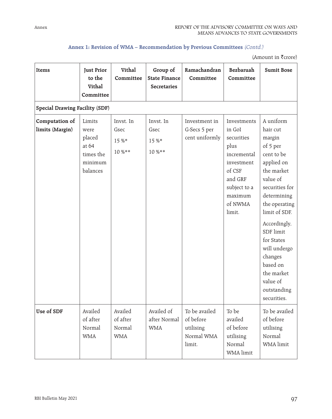# **Annex 1: Revision of WMA – Recommendation by Previous Committees** (Contd.)

(Amount in  $\bar{\bar{\mathfrak{k}}}$ crore)

| Items                             | <b>Just Prior</b><br>to the<br>Vithal<br>Committee                    | Vithal<br>Committee                         | Group of<br><b>State Finance</b><br><b>Secretaries</b> | Ramachandran<br>Committee                                       | Bezbaruah<br>Committee                                                                                                                        | <b>Sumit Bose</b>                                                                                                                                                                                                                                                                                              |
|-----------------------------------|-----------------------------------------------------------------------|---------------------------------------------|--------------------------------------------------------|-----------------------------------------------------------------|-----------------------------------------------------------------------------------------------------------------------------------------------|----------------------------------------------------------------------------------------------------------------------------------------------------------------------------------------------------------------------------------------------------------------------------------------------------------------|
| Special Drawing Facility (SDF)    |                                                                       |                                             |                                                        |                                                                 |                                                                                                                                               |                                                                                                                                                                                                                                                                                                                |
| Computation of<br>limits (Margin) | Limits<br>were<br>placed<br>at 64<br>times the<br>minimum<br>balances | Invst. In<br>Gsec<br>15 %*<br>$10\%***$     | Invst. In<br>Gsec<br>15 %*<br>$10\%***$                | Investment in<br>G-Secs 5 per<br>cent uniformly                 | Investments<br>in GoI<br>securities<br>plus<br>incremental<br>investment<br>of CSF<br>and GRF<br>subject to a<br>maximum<br>of NWMA<br>limit. | A uniform<br>hair cut<br>margin<br>of 5 per<br>cent to be<br>applied on<br>the market<br>value of<br>securities for<br>determining<br>the operating<br>limit of SDF.<br>Accordingly,<br>SDF limit<br>for States<br>will undergo<br>changes<br>based on<br>the market<br>value of<br>outstanding<br>securities. |
| Use of SDF                        | Availed<br>of after<br>Normal<br><b>WMA</b>                           | Availed<br>of after<br>Normal<br><b>WMA</b> | Availed of<br>after Normal<br><b>WMA</b>               | To be availed<br>of before<br>utilising<br>Normal WMA<br>limit. | To be<br>availed<br>of before<br>utilising<br>Normal<br>WMA limit                                                                             | To be availed<br>of before<br>utilising<br>Normal<br>WMA limit                                                                                                                                                                                                                                                 |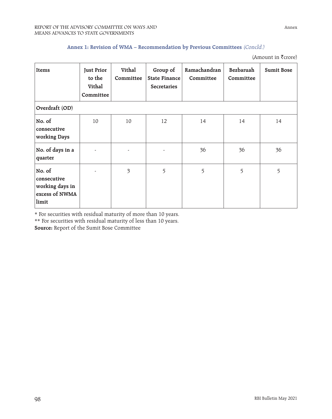# **Annex 1: Revision of WMA – Recommendation by Previous Committees** (Concld.)

(Amount in  $\bar{\bar{\mathfrak{k}}}$ crore)

| Items                                                               | <b>Just Prior</b><br>to the<br>Vithal<br>Committee | Vithal<br>Committee     | Group of<br><b>State Finance</b><br><b>Secretaries</b> | Ramachandran<br>Committee | Bezbaruah<br>Committee | <b>Sumit Bose</b> |
|---------------------------------------------------------------------|----------------------------------------------------|-------------------------|--------------------------------------------------------|---------------------------|------------------------|-------------------|
| Overdraft (OD)                                                      |                                                    |                         |                                                        |                           |                        |                   |
| No. of<br>consecutive<br>working Days                               | 10                                                 | 10                      | 12                                                     | 14                        | 14                     | 14                |
| No. of days in a<br>quarter                                         |                                                    |                         |                                                        | 36                        | 36                     | 36                |
| No. of<br>consecutive<br>working days in<br>excess of NWMA<br>limit |                                                    | $\overline{\mathbf{3}}$ | 5                                                      | 5                         | 5                      | 5                 |

\* For securities with residual maturity of more than 10 years.

\*\* For securities with residual maturity of less than 10 years.

**Source:** Report of the Sumit Bose Committee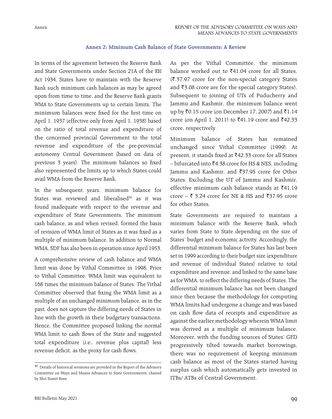Annex

# **Annex 2: Minimum Cash Balance of State Governments: A Review**

In terms of the agreement between the Reserve Bank and State Governments under Section 21A of the RBI Act 1934, States have to maintain with the Reserve Bank such minimum cash balances as may be agreed upon from time to time, and the Reserve Bank grants WMA to State Governments up to certain limits. The minimum balances were fixed for the first time on April 1, 1937 (effective only from April 1, 1938) based on the ratio of total revenue and expenditure of the concerned provincial Government to the total revenue and expenditure of the pre-provincial autonomy Central Government (based on data of previous 3 years). The minimum balances so fixed also represented the limits up to which States could avail WMA from the Reserve Bank.

In the subsequent years, minimum balance for States was reviewed and liberalised $30$  as it was found inadequate with respect to the revenue and expenditure of State Governments. The minimum cash balance, as and when revised, formed the basis of revision of WMA limit of States as it was fixed as a multiple of minimum balance. In addition to Normal WMA, SDF has also been in operation since April 1953.

A comprehensive review of cash balance and WMA limit was done by Vithal Committee in 1998. Prior to Vithal Committee, WMA limit was equivalent to 168 times the minimum balance of States. The Vithal Committee observed that fixing the WMA limit as a multiple of an unchanged minimum balance, as in the past, does not capture the differing needs of States in line with the growth in their budgetary transactions. Hence, the Committee proposed linking the normal WMA limit to cash flows of the State and suggested total expenditure (i.e., revenue plus capital) less revenue deficit, as the proxy for cash flows.

RBI Bulletin May 2021

As per the Vithal Committee, the minimum balance worked out to  $\bar{\xi}$ 41.04 crore for all States.  $({}^{2}\mathbf{.37.97})$  crore for the non-special category States and ₹3.08 crore are for the special category States). Subsequent to joining of UTs of Puducherry and Jammu and Kashmir, the minimum balance went up by ₹0.15 crore (on December 17, 2007) and ₹1.14 crore (on April 1, 2011) to  $\bar{z}$ 41.19 crore and  $\bar{z}$ 42.33 crore, respectively.

Minimum balance of States has remained unchanged since Vithal Committee (1999). At present, it stands fixed at ₹42.33 crore for all States  $-$  bifurcated into  $\bar{z}$ 4.38 crore for HS & NES, including Jammu and Kashmir, and ₹37.95 crore for Other States. Excluding the UT of Jammu and Kashmir, effective minimum cash balance stands at  $\bar{z}$ 41.19 crore –  $\bar{\xi}$  3.24 crore for NE & HS and  $\bar{\xi}$ 37.95 crore for other States.

State Governments are required to maintain a minimum balance with the Reserve Bank, which varies from State to State depending on the size of States' budget and economic activity. Accordingly, the differential minimum balance for States has last been set in 1999 according to their budget size (expenditure and revenue of individual States) relative to total expenditure and revenue, and linked to the same base as for WMA, to reflect the differing needs of States. The differential minimum balance has not been changed since then because the methodology for computing WMA limits had undergone a change and was based on cash flow data of receipts and expenditure as against the earlier methodology wherein WMA limit was derived as a multiple of minimum balance. Moreover, with the funding sources of States' GFD progressively tilted towards market borrowings, there was no requirement of keeping minimum cash balance as most of the States started having surplus cash which automatically gets invested in ITBs/ ATBs of Central Government.

 $^{30}$  Details of historical revisions are provided in the Report of the Advisory Committee on Ways and Means Advances to State Governments, chaired by Shri Sumit Bose.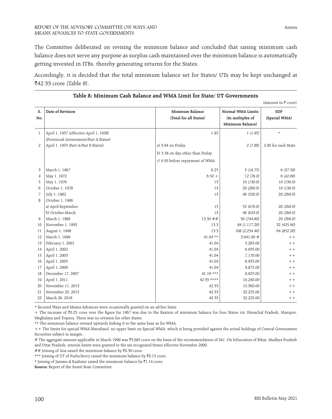The Committee deliberated on revising the minimum balance and concluded that raising minimum cash balance does not serve any purpose as surplus cash maintained over the minimum balance is automatically getting invested in ITBs, thereby generating returns for the States.

Accordingly, it is decided that the total minimum balance set for States/ UTs may be kept unchanged at ₹42.33 crore (Table 8).

|                |                                                                                  |                                                                     |                                                           | (Amount in ₹ crore)         |
|----------------|----------------------------------------------------------------------------------|---------------------------------------------------------------------|-----------------------------------------------------------|-----------------------------|
| S.<br>No.      | Date of Revision                                                                 | Minimum Balance<br>(Total for all States)                           | Normal WMA Limits<br>(In multiples of<br>Minimum Balance) | <b>SDF</b><br>(Special WMA) |
| $\mathbf{1}$   | April 1, 1937 (effective April 1, 1938)<br>(Provincial Government/Part A States) | 1.95                                                                | 1(1.95)                                                   | $\ast$                      |
| 2              | April 1, 1953 (Part A/Part B States)                                             | a) 3.94 on Friday                                                   | 2(7.88)                                                   | 2.00 for each State         |
|                |                                                                                  | b) 3.38 on day other than Friday<br>c) 4.50 before repayment of WMA |                                                           |                             |
| 3              | March 1, 1967                                                                    | 6.25                                                                | 3(18.75)                                                  | 6(37.50)                    |
| $\overline{4}$ | May 1, 1972                                                                      | $6.50 +$                                                            | 12 (78.0)                                                 | 6(42.66)                    |
| 5              | May 1, 1976                                                                      | 13                                                                  | 10 (130.0)                                                | 10 (130.0)                  |
| 6              | October 1, 1978                                                                  | 13                                                                  | 20 (260.0)                                                | 10(130.0)                   |
| 7              | July 1, 1982                                                                     | 13                                                                  | 40 (520.0)                                                | 20(260.0)                   |
| 8              | October 1, 1986                                                                  |                                                                     |                                                           |                             |
|                | a) April-September                                                               | 13                                                                  | 52 (676.0)                                                | 20(260.0)                   |
|                | b) October-March                                                                 | 13                                                                  | 48 (624.0)                                                | 20(260.0)                   |
| 9              | March 1, 1988                                                                    | 13.30##                                                             | 56 (744.80)                                               | 20(266.0)                   |
| 10             | November 1, 1993                                                                 | 13.3                                                                | 84 (1,117.20)                                             | 32 (425.60)                 |
| 11             | August 1, 1996                                                                   | 13.3                                                                | 168 (2,234.40)                                            | 64 (852.20)                 |
| 12             | March 1, 1999                                                                    | $41.04$ **                                                          | 3,941.00#                                                 | $++$                        |
| 13             | February 1, 2001                                                                 | 41.04                                                               | 5,283.00                                                  | $++$                        |
| 14             | April 1, 2002                                                                    | 41.04                                                               | 6,035.00                                                  | $++$                        |
| 15             | April 1, 2003                                                                    | 41.04                                                               | 7,170.00                                                  | $++$                        |
| 16             | April 1, 2005                                                                    | 41.04                                                               | 8,935.00                                                  | $++$                        |
| 17             | April 1, 2006                                                                    | 41.04                                                               | 9,875.00                                                  | $++$                        |
| 18             | December 17, 2007                                                                | $41.19***$                                                          | 9,925.00                                                  | $++$                        |
| 19             | April 1, 2011                                                                    | 42.33 ****                                                          | 10,240.00                                                 | $++$                        |
| 20             | November 11, 2013                                                                | 42.33                                                               | 15,360.00                                                 | $++$                        |
| 21             | November 20, 2015                                                                | 42.33                                                               | 32,225.00                                                 | $++$                        |
| 22             | March 26, 2018                                                                   | 42.33                                                               | 32,225.00                                                 | $++$                        |

\* Secured Ways and Means Advances were occasionally granted on an ad-hoc basis.

+ The increase of `0.25 crore over the figure for 1967 was due to the fixation of minimum balance for four States viz. Himachal Pradesh, Manipur, Meghalaya and Tripura. There was no revision for other States.

\*\* The minimum balance revised upwards linking it to the same base as for WMA.

## Joining of Goa raised the minimum balance by  $\bar{x}$ 0.30 crore.

\*\*\* Joining of UT of Puducherry raised the minimum balance by  $\bar{z}0.15$  crore.

\* Joining of Jammu & Kashmir raised the minimum balance by `1.14 crore.

**Source:** Report of the Sumit Bose Committee

<sup>++</sup> The limits for special WMA liberalised, no upper limit on Special WMA, which is being provided against the actual holdings of Central Government Securities subject to margin.

<sup>#</sup> The aggregate amount applicable in March 1999 was ₹3,685 crore on the basis of the recommendation of IAC. On bifurcation of Bihar, Madhya Pradesh and Uttar Pradesh, interim limits were granted to the six recognised States effective November 2000.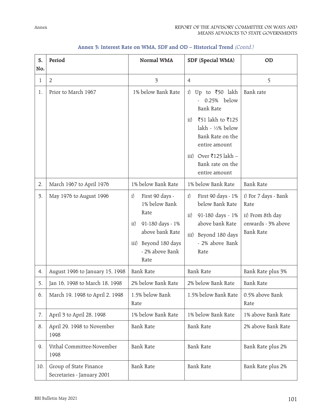| S.<br>No.       | Period                                               | Normal WMA                                                                                                                                         | SDF (Special WMA)                                                                                                                                                                                                                             | OD                                                                                         |
|-----------------|------------------------------------------------------|----------------------------------------------------------------------------------------------------------------------------------------------------|-----------------------------------------------------------------------------------------------------------------------------------------------------------------------------------------------------------------------------------------------|--------------------------------------------------------------------------------------------|
| 1               | $\overline{2}$                                       | $\overline{\mathbf{3}}$                                                                                                                            | $\overline{4}$                                                                                                                                                                                                                                | 5                                                                                          |
| 1.              | Prior to March 1967                                  | 1% below Bank Rate                                                                                                                                 | Up to $\overline{\xi}50$ lakh<br>i)<br>0.25% below<br><b>Bank Rate</b><br>₹51 lakh to ₹125<br>$\rm ii)$<br>lakh - $\frac{1}{2}\%$ below<br>Bank Rate on the<br>entire amount<br>Over ₹125 lakh –<br>iii)<br>Bank rate on the<br>entire amount | Bank rate                                                                                  |
| 2.              | March 1967 to April 1976                             | 1% below Bank Rate                                                                                                                                 | 1% below Bank Rate                                                                                                                                                                                                                            | <b>Bank Rate</b>                                                                           |
| $\mathfrak{Z}.$ | May 1976 to August 1996                              | First 90 days -<br>i)<br>1% below Bank<br>Rate<br>91-180 days - 1%<br>ii)<br>above bank Rate<br>Beyond 180 days<br>iii)<br>- 2% above Bank<br>Rate | First 90 days - 1%<br>i)<br>below Bank Rate<br>91-180 days - 1%<br>$\rm ii)$<br>above bank Rate<br>iii) Beyond 180 days<br>- 2% above Bank<br>Rate                                                                                            | i) For 7 days - Bank<br>Rate<br>ii) From 8th day<br>onwards - 3% above<br><b>Bank Rate</b> |
| 4.              | August 1996 to January 15, 1998                      | <b>Bank Rate</b>                                                                                                                                   | <b>Bank Rate</b>                                                                                                                                                                                                                              | Bank Rate plus 3%                                                                          |
| 5.              | Jan 16, 1998 to March 18, 1998                       | 2% below Bank Rate                                                                                                                                 | 2% below Bank Rate                                                                                                                                                                                                                            | <b>Bank Rate</b>                                                                           |
| 6.              | March 19, 1998 to April 2, 1998                      | 1.5% below Bank<br>Rate                                                                                                                            | 1.5% below Bank Rate                                                                                                                                                                                                                          | 0.5% above Bank<br>Rate                                                                    |
| 7.              | April 3 to April 28, 1998                            | 1% below Bank Rate                                                                                                                                 | 1% below Bank Rate                                                                                                                                                                                                                            | 1% above Bank Rate                                                                         |
| 8.              | April 29, 1998 to November<br>1998                   | <b>Bank Rate</b>                                                                                                                                   | <b>Bank Rate</b>                                                                                                                                                                                                                              | 2% above Bank Rate                                                                         |
| 9.              | Vithal Committee-November<br>1998                    | <b>Bank Rate</b>                                                                                                                                   | <b>Bank Rate</b>                                                                                                                                                                                                                              | Bank Rate plus 2%                                                                          |
| 10.             | Group of State Finance<br>Secretaries - January 2001 | <b>Bank Rate</b>                                                                                                                                   | <b>Bank Rate</b>                                                                                                                                                                                                                              | Bank Rate plus 2%                                                                          |

# **Annex 3: Interest Rate on WMA, SDF and OD – Historical Trend** (Contd.)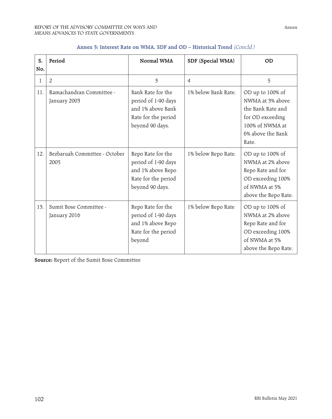| S.<br>No. | Period                                   | Normal WMA                                                                                              | SDF (Special WMA)   | OD                                                                                                                             |
|-----------|------------------------------------------|---------------------------------------------------------------------------------------------------------|---------------------|--------------------------------------------------------------------------------------------------------------------------------|
| 1         | $\overline{2}$                           | 3                                                                                                       | $\overline{4}$      | 5                                                                                                                              |
| 11.       | Ramachandran Committee -<br>January 2003 | Bank Rate for the<br>period of 1-90 days<br>and 1% above Bank<br>Rate for the period<br>beyond 90 days. | 1% below Bank Rate. | OD up to 100% of<br>NWMA at 3% above<br>the Bank Rate and<br>for OD exceeding<br>100% of NWMA at<br>6% above the Bank<br>Rate. |
| 12.       | Bezbaruah Committee - October<br>2005    | Repo Rate for the<br>period of 1-90 days<br>and 1% above Repo<br>Rate for the period<br>beyond 90 days. | 1% below Repo Rate. | OD up to 100% of<br>NWMA at 2% above<br>Repo Rate and for<br>OD exceeding 100%<br>of NWMA at 5%<br>above the Repo Rate.        |
| 13.       | Sumit Bose Committee -<br>January 2016   | Repo Rate for the<br>period of 1-90 days<br>and 1% above Repo<br>Rate for the period<br>beyond          | 1% below Repo Rate  | OD up to 100% of<br>NWMA at 2% above<br>Repo Rate and for<br>OD exceeding 100%<br>of NWMA at 5%<br>above the Repo Rate.        |

# **Annex 3: Interest Rate on WMA, SDF and OD – Historical Trend** (Concld.)

**Source:** Report of the Sumit Bose Committee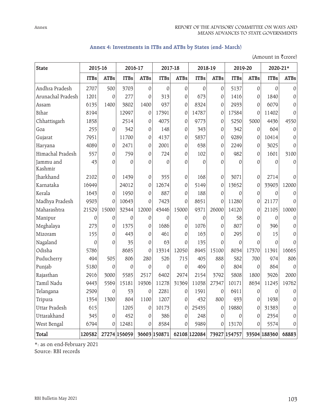| Annex 4: Investments in ITBs and ATBs by States (end- March) |  |  |  |  |  |  |
|--------------------------------------------------------------|--|--|--|--|--|--|
|--------------------------------------------------------------|--|--|--|--|--|--|

| <b>State</b>         | 2015-16     |                  | 2016-17      |                  | 2017-18     |                  | 2018-19                                                          |                  | 2019-20      |             | 2020-21*    |             |
|----------------------|-------------|------------------|--------------|------------------|-------------|------------------|------------------------------------------------------------------|------------------|--------------|-------------|-------------|-------------|
|                      | <b>ITBs</b> | <b>ATBs</b>      | <b>ITBs</b>  | <b>ATBs</b>      | <b>ITBs</b> | <b>ATBs</b>      | <b>ITBs</b>                                                      | <b>ATBs</b>      | <b>ITBs</b>  | <b>ATBs</b> | <b>ITBs</b> | <b>ATBs</b> |
| Andhra Pradesh       | 2707        | 500              | 3703         | 0                | 0           | 0                | 0                                                                | 0                | 5137         | 0           | $\theta$    | 0           |
| Arunachal Pradesh    | 1201        | $\theta$         | 277          | 0                | 313         | 0                | 673                                                              | 0                | 1416         | 0           | 1840        | 0           |
| Assam                | 6135        | 1400             | 3802         | 1400             | 937         | 0                | 8324                                                             | 0                | 2933         | 0           | 6079        | 0           |
| Bihar                | 8194        |                  | 12997        | 0                | 17391       | 0                | 14787                                                            | 0                | 17584        | $\theta$    | 11402       | 0           |
| Chhattisgarh         | 1858        |                  | 2514         | 0                | 4075        | $\boldsymbol{0}$ | 9773                                                             | 0                | 5250         | 5000        | 4436        | 4550        |
| Goa                  | 255         | $\boldsymbol{0}$ | 342          | 0                | 148         | 0                | 343                                                              | 0                | 342          | 0           | 604         | 0           |
| Gujarat              | 7951        |                  | 11700        | 0                | 4137        | 0                | 5837                                                             | 0                | 9289         | 0           | 10414       | 0           |
| Haryana              | 4089        | 0                | 2471         | 0                | 2001        | 0                | 638                                                              | 0                | 2249         | 0           | 3025        | 0           |
| Himachal Pradesh     | 557         | $\boldsymbol{0}$ | 759          | 0                | 724         | $\mathbf{0}$     | 102                                                              | 0                | 982          | 0           | 1601        | 3100        |
| Jammu and<br>Kashmir | 43          | $\Omega$         | $\mathbf{0}$ | $\mathbf{0}$     | 0           | 0                | 0                                                                | 0                | $\mathbf{0}$ | $\Omega$    | 0           | 0           |
| Jharkhand            | 2102        | $\mathbf 0$      | 1439         | 0                | 355         | 0                | 168                                                              | 0                | 3071         | 0           | 2714        | 0           |
| Karnataka            | 16949       |                  | 24012        | $\mathbf 0$      | 12674       | 0                | 5149                                                             | 0                | 13652        | 0           | 33903       | 12000       |
| Kerala               | 1643        | $\theta$         | 1950         | 0                | 887         | 0                | 188                                                              | 0                | 0            | 0           | 0           | 0           |
| Madhya Pradesh       | 9503        | $\mathbf{0}$     | 10643        | $\mathbf{0}$     | 7423        | $\mathbf{0}$     | 8651                                                             | 0                | 11280        | 0           | 21177       | 0           |
| Maharashtra          | 21529       | 15000            | 32344        | 12000            | 43446       | 15000            | 9371                                                             | 26000            | 14120        | 0           | 21105       | 10000       |
| Manipur              | 0           | 0                | 0            | 0                | 0           | 0                | $\mathbf 0$                                                      | 0                | 58           | 0           | 0           | 0           |
| Meghalaya            | 273         | 0                | 1375         | 0                | 1686        | 0                | 1076                                                             | 0                | 807          | $\Omega$    | 396         | 0           |
| Mizoram              | 155         | $\boldsymbol{0}$ | 443          | 0                | 461         | $\mathbf{0}$     | 163                                                              | 0                | 295          | $\Omega$    | 15          | $\Omega$    |
| Nagaland             | 0           | $\theta$         | 35           | 0                | 63          | $\mathbf{0}$     | 135                                                              | 0                | 0            | $\Omega$    | $\theta$    | O           |
| Odisha               | 5786        |                  | 8685         | $\mathbf{0}$     | 13314       | 12050            | 8945                                                             | 15100            | 8034         | 17370       | 11391       | 16665       |
| Puducherry           | 494         | 505              | 806          | 280              | 526         | 715              | 405                                                              | 888              | 582          | 700         | 974         | 806         |
| Punjab               | 5180        | $\theta$         | 0            | 0                | 0           | 0                | 469                                                              | 0                | 804          | 0           | 864         | $\Omega$    |
| Rajasthan            | 2916        | 3000             | 5585         | 2517             | 6402        | 2974             | 2154                                                             | 3792             | 5808         | 1800        | 3926        | 2000        |
| Tamil Nadu           | 9443        | 5569             | 15181        | 19306            | 11278       | 31369            | 11038                                                            | 27347            | 10171        | 8634        | 11245       | 19762       |
| Telangana            | 2509        | $\theta$         | 53           | $\boldsymbol{0}$ | 2281        | $\boldsymbol{0}$ | 1591                                                             | $\boldsymbol{0}$ | 6911         | $\theta$    | $\Omega$    | $\Omega$    |
| Tripura              | 1354        | 1300             | 804          | 1100             | 1207        | 0                | 432                                                              | 800              | 933          | 0           | 1938        | 0           |
| Uttar Pradesh        | 615         |                  | 1205         | 0                | 10173       | 0                | 25435                                                            | 0                | 19880        | 0           | 31383       | 0           |
| Uttarakhand          | 345         | 0                | 452          | 0                | 386         | 0                | 248                                                              | 0                | 0            | 0           | 2354        | O           |
| West Bengal          | 6794        | 0                | 12481        | 0                | 8584        | 0                | 5989                                                             | 0                | 13170        | 0           | 5574        | 0           |
| Total                | 120582      |                  |              |                  |             |                  | 27274 156059 36603 150871 62108 122084 73927 154757 33504 188360 |                  |              |             |             | 68883       |

(Amount in  $\bar{\tau}$ crore)

\*: as on end-February 2021

Source: RBI records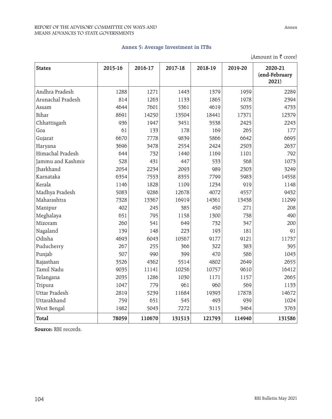#### REPORT OF THE ADVISORY COMMITTEE ON WAYS AND MEANS ADVANCES TO STATE GOVERNMENTS

**States 2015-16 2016-17 2017-18 2018-19 2019-20 2020-21 (end-February 2021)** Andhra Pradesh 1288 1271 1443 1379 1959 2289 Arunachal Pradesh 1814 1263 1133 1865 1978 2394 Assam 4644 7601 5361 4619 5035 4733 Bihar 8691 14250 13504 18441 17371 12379 Chhattisgarh 936 1947 3451 3538 2425 2243 Goa 61 133 178 169 265 177 Gujarat 6670 7778 9839 5866 6642 6695 Haryana 3696 3478 2554 2424 2503 2637 Himachal Pradesh (644 | 732 | 1440 | 1169 | 1101 | 792 Jammu and Kashmir 528 431 447 533 568 1073 Jharkhand 2054 2234 2093 989 2303 3249 Karnataka 6354 7553 8355 7799 5983 14558 Kerala 1146 1828 1109 1234 919 1148 Madhya Pradesh 5083 9286 12678 4072 4557 9432 Maharashtra | 7328 13367 16919 14361 13438 11299 Manipur 402 245 385 450 271 208 Meghalaya 651 795 1158 1300 738 490 Mizoram 260 541 649 732 347 200 Nagaland 139 148 223 193 181 91 Odisha 4693 6043 10567 9177 9121 11737 Puducherry 267 255 366 322 383 395 Punjab 507 990 399 470 586 1043 Rajasthan 3526 4362 5514 4802 2649 2655 Tamil Nadu 9035 11141 10256 10757 9610 16412 Telangana 2035 1286 1030 1171 1157 2665 Tripura 1047 779 961 960 569 1133 Uttar Pradesh 2819 5239 11684 19393 17878 14672 Uttarakhand 759 651 545 493 939 1024 West Bengal 1982 | 1982 | 5043 | 7272 | 3115 | 3464 | 3763 **Total 78059 110670 131513 121793 114940 131586**

**Annex 5: Average Investment in ITBs**

**Source:** RBI records.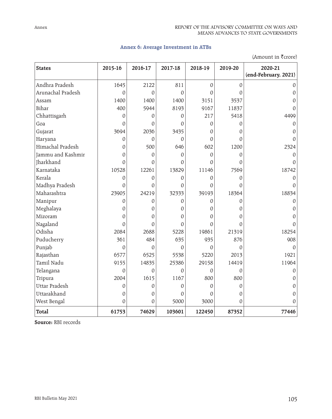# **Annex 6: Average Investment in ATBs**

|                   | (Amount in ₹crore) |          |                |                |                |                                 |  |  |  |
|-------------------|--------------------|----------|----------------|----------------|----------------|---------------------------------|--|--|--|
| <b>States</b>     | 2015-16            | 2016-17  | 2017-18        | 2018-19        | 2019-20        | 2020-21<br>(end-February, 2021) |  |  |  |
| Andhra Pradesh    | 1645               | 2122     | 811            | $\overline{0}$ | $\mathbf 0$    |                                 |  |  |  |
| Arunachal Pradesh | 0                  | 0        | $\Omega$       | $\Omega$       | $\overline{0}$ | $\overline{0}$                  |  |  |  |
| Assam             | 1400               | 1400     | 1400           | 3151           | 3537           | 0                               |  |  |  |
| Bihar             | 400                | 5944     | 8193           | 9167           | 11837          | 0                               |  |  |  |
| Chhattisgarh      | 0                  | 0        | $\overline{0}$ | 217            | 5418           | 4499                            |  |  |  |
| Goa               | $\Omega$           | $\Omega$ | $\Omega$       | $\Omega$       | $\Omega$       | 0                               |  |  |  |
| Gujarat           | 3694               | 2036     | 3435           | $\Omega$       | $\Omega$       | 0                               |  |  |  |
| Haryana           | 0                  | 0        | $\mathbf{0}$   | 0              | 0              | 0                               |  |  |  |
| Himachal Pradesh  | $\mathbf{0}$       | 500      | 646            | 602            | 1200           | 2324                            |  |  |  |
| Jammu and Kashmir | 0                  | 0        | $\Omega$       | $\Omega$       | $\theta$       | 0                               |  |  |  |
| Jharkhand         | $\Omega$           | 0        | O              | O              | $\Omega$       | 0                               |  |  |  |
| Karnataka         | 10528              | 12261    | 13829          | 11146          | 7569           | 18742                           |  |  |  |
| Kerala            | $\overline{0}$     | 0        | $\overline{0}$ | 0              | $\theta$       | $\Omega$                        |  |  |  |
| Madhya Pradesh    | $\overline{0}$     | 0        | $\Omega$       | $\Omega$       | $\Omega$       | N                               |  |  |  |
| Maharashtra       | 23905              | 24219    | 32333          | 39193          | 18364          | 18834                           |  |  |  |
| Manipur           | 0                  | 0        | $\mathbf{0}$   | 0              | $\theta$       | 0                               |  |  |  |
| Meghalaya         | $\mathbf{0}$       | 0        | $\mathbf{0}$   | 0              | $\Omega$       | 0                               |  |  |  |
| Mizoram           | 0                  | 0        | $\mathbf{0}$   | 0              | 0              | 0                               |  |  |  |
| Nagaland          | $\mathbf{0}$       | $\Omega$ | $\Omega$       | $\Omega$       | $\mathbf{0}$   | U                               |  |  |  |
| Odisha            | 2084               | 2688     | 5228           | 19861          | 21319          | 18254                           |  |  |  |
| Puducherry        | 361                | 484      | 635            | 935            | 876            | 908                             |  |  |  |
| Punjab            | 0                  | 0        | $\Omega$       | $\Omega$       | $\Omega$       | 0                               |  |  |  |
| Rajasthan         | 6577               | 6525     | 5538           | 5220           | 2013           | 1921                            |  |  |  |
| Tamil Nadu        | 9155               | 14835    | 25386          | 29158          | 14419          | 11964                           |  |  |  |
| Telangana         | 0                  | 0        | $\Omega$       | 0              | $\theta$       | 0                               |  |  |  |
| Tripura           | 2004               | 1615     | 1167           | 800            | 800            | 0                               |  |  |  |
| Uttar Pradesh     | 0                  | 0        | $\Omega$       | $\Omega$       | $\theta$       | 0                               |  |  |  |
| Uttarakhand       | 0                  | 0        | $\Omega$       | 0              | 0              | $\overline{0}$                  |  |  |  |
| West Bengal       | $\overline{0}$     | 0        | 5000           | 3000           | 0              | 0                               |  |  |  |
| Total             | 61753              | 74629    | 103601         | 122450         | 87352          | 77446                           |  |  |  |

**Source:** RBI records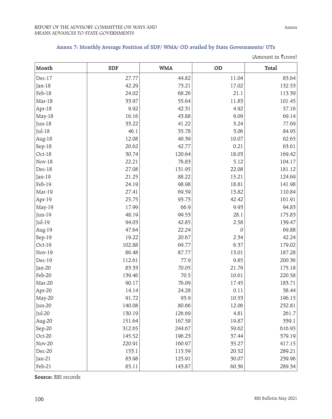# **Annex 7: Monthly Average Position of SDF/ WMA/ OD availed by State Governments/ UTs**

|               |            |            |       | (Amount in ₹crore) |
|---------------|------------|------------|-------|--------------------|
| Month         | <b>SDF</b> | <b>WMA</b> | OD    | Total              |
| Dec-17        | 27.77      | 44.82      | 11.04 | 83.64              |
| Jan-18        | 42.29      | 73.21      | 17.02 | 132.53             |
| Feb-18        | 24.02      | 68.26      | 21.1  | 113.39             |
| Mar-18        | 33.97      | 55.64      | 11.83 | 101.45             |
| Apr-18        | 9.92       | 42.31      | 4.92  | 57.16              |
| May-18        | 16.16      | 43.88      | 9.09  | 69.14              |
| Jun-18        | 33.22      | 41.22      | 3.24  | 77.69              |
| $Jul-18$      | 46.1       | 35.78      | 3.06  | 84.95              |
| Aug-18        | 12.08      | 40.39      | 10.07 | 62.65              |
| Sep-18        | 20.62      | 42.77      | 0.21  | 63.61              |
| Oct-18        | 30.74      | 120.64     | 18.03 | 169.42             |
| <b>Nov-18</b> | 22.21      | 76.83      | 5.12  | 104.17             |
| Dec-18        | 27.08      | 131.95     | 22.08 | 181.12             |
| Jan-19        | 21.25      | 88.22      | 15.21 | 124.69             |
| Feb-19        | 24.19      | 98.98      | 18.81 | 141.98             |
| Mar-19        | 27.41      | 69.59      | 13.82 | 110.84             |
| Apr-19        | 25.75      | 93.73      | 42.42 | 161.91             |
| May-19        | 17.99      | 66.9       | 9.93  | 94.83              |
| Jun-19        | 48.19      | 99.53      | 28.1  | 175.83             |
| Jul-19        | 94.03      | 42.85      | 2.58  | 139.47             |
| Aug-19        | 47.64      | 22.24      | 0     | 69.88              |
| Sep-19        | 19.22      | 20.67      | 2.34  | 42.24              |
| Oct-19        | 102.88     | 69.77      | 6.37  | 179.02             |
| <b>Nov-19</b> | 86.48      | 87.77      | 13.01 | 187.28             |
| Dec-19        | 112.61     | 77.9       | 9.85  | 200.36             |
| Jan-20        | 83.33      | 70.05      | 21.79 | 175.18             |
| Feb-20        | 139.46     | 70.5       | 10.61 | 220.58             |
| Mar-20        | 90.17      | 76.09      | 17.45 | 183.71             |
| Apr-20        | 14.14      | 24.28      | 0.11  | 38.44              |
| May-20        | 91.72      | 93.9       | 10.53 | 196.15             |
| Jun-20        | 140.08     | 80.66      | 12.06 | 232.81             |
| Jul-20        | 130.19     | 126.69     | 4.81  | 261.7              |
| Aug-20        | 151.64     | 167.58     | 19.87 | 339.1              |
| Sep-20        | 312.65     | 244.67     | 59.62 | 616.95             |
| Oct-20        | 145.52     | 196.23     | 37.44 | 379.19             |
| <b>Nov-20</b> | 220.91     | 160.97     | 35.27 | 417.15             |
| Dec-20        | 153.1      | 115.59     | 20.52 | 289.21             |
| $Jan-21$      | 83.98      | 125.91     | 30.07 | 239.96             |
| Feb-21        | 85.11      | 143.87     | 60.36 | 289.34             |

**Source:** RBI records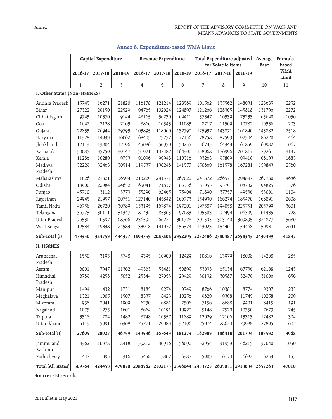| Capital Expenditure           |              |         | Revenue Expenditure     |                                |         | Total Expenditure adjusted<br>for Volatile items |         |         | Average<br>Base         | Formula-<br>based |                     |
|-------------------------------|--------------|---------|-------------------------|--------------------------------|---------|--------------------------------------------------|---------|---------|-------------------------|-------------------|---------------------|
|                               | 2016-17      | 2017-18 | 2018-19                 | 2016-17                        | 2017-18 | 2018-19                                          | 2016-17 | 2017-18 | 2018-19                 |                   | <b>WMA</b><br>Limit |
|                               | $\mathbf{1}$ | 2       | $\overline{\mathbf{3}}$ | $\overline{4}$                 | 5       | 6                                                | 7       | 8       | 9                       | 10                | 11                  |
| I. Other States (Non- HS&NES) |              |         |                         |                                |         |                                                  |         |         |                         |                   |                     |
| Andhra Pradesh                | 15745        | 16271   | 21820                   | 116178                         | 121214  | 128569                                           | 101562  | 135562  | 148931                  | 128685            | 2252                |
| Bihar                         | 27322        | 29150   | 22529                   | 94765                          | 102624  | 124897                                           | 121266  | 128305  | 145818                  | 131796            | 2272                |
| Chhattisgarh                  | 9743         | 10370   | 9144                    | 48165                          | 56230   | 64411                                            | 57347   | 66339   | 73233                   | 65640             | 1056                |
| Goa                           | 1642         | 2128    | 2163                    | 8866                           | 10543   | 11083                                            | 8717    | 11509   | 10782                   | 10336             | 203                 |
| Gujarat                       | 22833        | 26944   | 29793                   | 103895                         | 118060  | 132790                                           | 125937  | 143871  | 161840                  | 143882            | 2518                |
| Haryana                       | 11378        | 14933   | 16062                   | 68403                          | 73257   | 77156                                            | 78758   | 87599   | 92304                   | 86220             | 1464                |
| Jharkhand                     | 12113        | 13804   | 12196                   | 45086                          | 50950   | 50255                                            | 56745   | 64343   | 61859                   | 60982             | 1067                |
| Karnataka                     | 30085        | 35759   | 39147                   | 131921                         | 142482  | 164300                                           | 158968  | 176996  | 201817                  | 179261            | 3137                |
| Kerala                        | 11286        | 10289   | 9753                    | 91096                          | 99948   | 110316                                           | 93263   | 95899   | 99419                   | 96193             | 1683                |
| Madhya<br>Pradesh             | 32229        | 32463   | 30514                   | 119537                         | 130246  | 141577                                           | 150669  | 161578  | 167281                  | 159843            | 2560                |
| Maharashtra                   | 31826        | 27821   | 36594                   | 213229                         | 241571  | 267022                                           | 241872  | 266571  | 294897                  | 267780            | 4686                |
| Odisha                        | 18900        | 22984   | 24652                   | 65041                          | 71837   | 85356                                            | 81953   | 93791   | 108732                  | 94825             | 1576                |
| Punjab                        | 45710        | 3112    | 3773                    | 55296                          | 62465   | 75404                                            | 71890   | 37757   | 49536                   | 53061             | 1104                |
| Rajasthan                     | 29945        | 21957   | 20751                   | 127140                         | 145842  | 166773                                           | 154930  | 166274  | 185470                  | 168891            | 2608                |
| Tamil Nadu                    | 46756        | 26720   | 30789                   | 153195                         | 167874  | 197201                                           | 197587  | 194058  | 225751                  | 205799            | 3601                |
| Telangana                     | 36773        | 30111   | 31347                   | 81432                          | 85365   | 97083                                            | 105503  | 92494   | 106309                  | 101435            | 1728                |
| Uttar Pradesh                 | 76530        | 40597   | 68766                   | 236592                         | 266224  | 301728                                           | 301595  | 303140  | 369895                  | 324877            | 5680                |
| West Bengal                   | 12534        | 19338   | 24583                   | 133918                         | 141077  | 156374                                           | 143923  | 154401  | 154468                  | 150931            | 2641                |
| Sub-Total (I)                 | 473350       | 384753  | 434377                  | 1893755                        | 2087808 | 2352295                                          | 2252486 | 2380487 | 2658343                 | 2430439           | 41837               |
| <b>II. HS&amp;NES</b>         |              |         |                         |                                |         |                                                  |         |         |                         |                   |                     |
| Arunachal<br>Pradesh          | 1550         | 3193    | 5748                    | 9395                           | 10900   | 12429                                            | 10816   | 13979   | 18008                   | 14268             | 285                 |
| Assam                         | 6001         | 7947    | 11362                   | 49363                          | 55481   | 56899                                            | 53633   | 65134   | 67736                   | 62168             | 1243                |
| Himachal<br>Pradesh           | 6789         | 4258    | 5052                    | 25344                          | 27053   | 29429                                            | 30132   | 30587   | 32479                   | 31066             | 656                 |
| Manipur                       | 1494         | 1432    | 1731                    | 8185                           | 9274    | 9749                                             | 8766    | 10381   | 8774                    | 9307              | 233                 |
| Meghalaya                     | 1321         | 1005    | 1507                    | 8337                           | 8423    | 10256                                            | 9629    | 9398    | 11745                   | 10258             | 209                 |
| Mizoram                       | 938          | 2041    | 1909                    | 6230                           | 6881    | 7506                                             | 7156    | 8688    | 9401                    | 8415              | 191                 |
| Nagaland                      | 1075         | 1275    | 1601                    | 8664                           | 10191   | 10920                                            | 5148    | 7520    | 10350                   | 7673              | 245                 |
| Tripura                       | 3318         | 1784    | 1482                    | 8748                           | 10357   | 11889                                            | 12029   | 12106   | 13313                   | 12482             | 304                 |
| Uttarakhand                   | 5119         | 5991    | 6368                    | 25271                          | 29083   | 32196                                            | 25074   | 28624   | 29988                   | 27895             | 602                 |
| Sub-total(II)                 | 27605        | 28927   | 36759                   | 149536                         | 167643  | 181273                                           | 162383  | 186418  | 201794                  | 183532            | 3968                |
| Jammu and<br>Kashmir          | 8362         | 10378   | 8418                    | 39812                          | 40916   | 56090                                            | 32954   | 31953   | 46215                   | 37040             | 1050                |
| Puducherry                    | 447          | 395     | 316                     | 5458                           | 5807    | 6387                                             | 5903    | 6174    | 6682                    | 6253              | 155                 |
| Total (All States)            | 509764       | 424453  |                         | 479870 2088562 2302175 2596044 |         |                                                  |         |         | 2453725 2605031 2913034 | 2657263           | 47010               |

# **Annex 8: Expenditure-based WMA Limit**

**Source:** RBI records.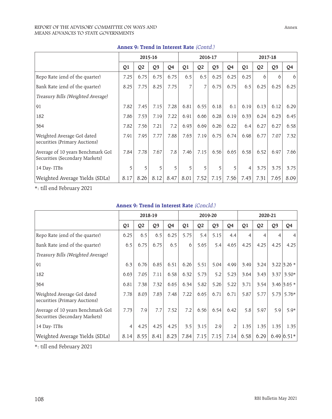#### REPORT OF THE ADVISORY COMMITTEE ON WAYS AND MEANS ADVANCES TO STATE GOVERNMENTS

| Alliex 9: Helid III Interest Nate (Colltu)                          |      |                |                |      |         |                |                |         |      |                |                |      |
|---------------------------------------------------------------------|------|----------------|----------------|------|---------|----------------|----------------|---------|------|----------------|----------------|------|
|                                                                     |      | 2015-16        |                |      | 2016-17 |                |                | 2017-18 |      |                |                |      |
|                                                                     | Q1   | Q <sub>2</sub> | Q <sub>3</sub> | Q4   | Q1      | Q <sub>2</sub> | Q <sub>3</sub> | Q4      | Q1   | Q <sub>2</sub> | Q <sub>3</sub> | Q4   |
| Repo Rate (end of the quarter)                                      | 7.25 | 6.75           | 6.75           | 6.75 | 6.5     | 6.5            | 6.25           | 6.25    | 6.25 | 6              | 6              | 6    |
| Bank Rate (end of the quarter)                                      | 8.25 | 7.75           | 8.25           | 7.75 | 7       | 7              | 6.75           | 6.75    | 6.5  | 6.25           | 6.25           | 6.25 |
| Treasury Bills (Weighted Average)                                   |      |                |                |      |         |                |                |         |      |                |                |      |
| 91                                                                  | 7.82 | 7.45           | 7.15           | 7.28 | 6.81    | 6.55           | 6.18           | 6.1     | 6.19 | 6.13           | 6.12           | 6.29 |
| 182                                                                 | 7.86 | 7.53           | 7.19           | 7.22 | 6.91    | 6.66           | 6.28           | 6.19    | 6.33 | 6.24           | 6.23           | 6.45 |
| 364                                                                 | 7.82 | 7.56           | 7.21           | 7.2  | 6.93    | 6.69           | 6.26           | 6.22    | 6.4  | 6.27           | 6.27           | 6.58 |
| Weighted Average GoI dated<br>securities (Primary Auctions)         | 7.91 | 7.95           | 7.77           | 7.88 | 7.63    | 7.19           | 6.75           | 6.74    | 6.98 | 6.77           | 7.07           | 7.32 |
| Average of 10 years Benchmark GoI<br>Securities (Secondary Markets) | 7.84 | 7.78           | 7.67           | 7.8  | 7.46    | 7.15           | 6.56           | 6.65    | 6.58 | 6.52           | 6.97           | 7.66 |
| 14 Day-ITBs                                                         | 5    | 5              | 5              | 5    | 5       | 5              | 5              | 5       | 4    | 3.75           | 3.75           | 3.75 |
| Weighted Average Yields (SDLs)                                      | 8.17 | 8.26           | 8.12           | 8.47 | 8.01    | 7.52           | 7.15           | 7.56    | 7.43 | 7.31           | 7.65           | 8.09 |

#### **Annex 9: Trend in Interest Rate** (Contd.)

\*: till end February 2021

# **Annex 9: Trend in Interest Rate** (Concld.)

|                                                                     | 2018-19 |                |                | 2019-20 |      |                | 2020-21        |      |      |                |                |                   |
|---------------------------------------------------------------------|---------|----------------|----------------|---------|------|----------------|----------------|------|------|----------------|----------------|-------------------|
|                                                                     | Q1      | Q <sub>2</sub> | Q <sub>3</sub> | Q4      | Q1   | Q <sub>2</sub> | Q <sub>3</sub> | Q4   | Q1   | Q <sub>2</sub> | Q <sub>3</sub> | Q4                |
| Repo Rate (end of the quarter)                                      | 6.25    | 6.5            | 6.5            | 6.25    | 5.75 | 5.4            | 5.15           | 4.4  | 4    | 4              | 4              | 4                 |
| Bank Rate (end of the quarter)                                      | 6.5     | 6.75           | 6.75           | 6.5     | 6    | 5.65           | 5.4            | 4.65 | 4.25 | 4.25           | 4.25           | 4.25              |
| Treasury Bills (Weighted Average)                                   |         |                |                |         |      |                |                |      |      |                |                |                   |
| 91                                                                  | 6.3     | 6.76           | 6.85           | 6.51    | 6.26 | 5.51           | 5.04           | 4.99 | 3.49 | 3.24           |                | $3.22$ 3.26 $*$   |
| 182                                                                 | 6.63    | 7.05           | 7.11           | 6.58    | 6.32 | 5.73           | 5.2            | 5.23 | 3.64 | 3.43           | 3.37           | $3.50*$           |
| 364                                                                 | 6.81    | 7.38           | 7.32           | 6.65    | 6.34 | 5.82           | 5.26           | 5.22 | 3.71 | 3.54           |                | $3.46$ 3.65 $*$   |
| Weighted Average GoI dated<br>securities (Primary Auctions)         | 7.78    | 8.03           | 7.83           | 7.48    | 7.22 | 6.65           | 6.71           | 6.71 | 5.87 | 5.77           | 5.73           | $5.76*$           |
| Average of 10 years Benchmark GoI<br>Securities (Secondary Markets) | 7.73    | 7.9            | 7.7            | 7.52    | 7.2  | 6.56           | 6.54           | 6.42 | 5.8  | 5.97           | 5.9            | $5.9*$            |
| 14 Day-ITBs                                                         | 4       | 4.25           | 4.25           | 4.25    | 3.5  | 3.15           | 2.9            | 2    | 1.35 | 1.35           | 1.35           | 1.35              |
| Weighted Average Yields (SDLs)                                      | 8.14    | 8.55           | 8.41           | 8.23    | 7.84 | 7.15           | 7.15           | 7.14 | 6.58 | 6.29           |                | $6.49 \,   6.51*$ |

\*: till end February 2021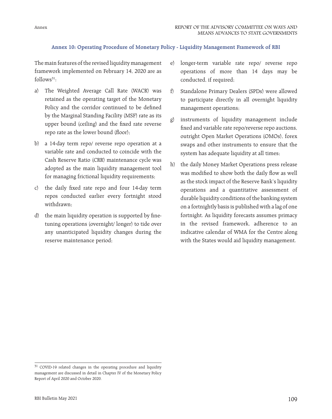# **Annex 10: Operating Procedure of Monetary Policy - Liquidity Management Framework of RBI**

The main features of the revised liquidity management framework implemented on February 14, 2020 are as  $follows<sup>31</sup>$ :

- a) The Weighted Average Call Rate (WACR) was retained as the operating target of the Monetary Policy and the corridor continued to be defined by the Marginal Standing Facility (MSF) rate as its upper bound (ceiling) and the fixed rate reverse repo rate as the lower bound (floor);
- b) a 14-day term repo/ reverse repo operation at a variable rate and conducted to coincide with the Cash Reserve Ratio (CRR) maintenance cycle was adopted as the main liquidity management tool for managing frictional liquidity requirements;
- c) the daily fixed rate repo and four 14-day term repos conducted earlier every fortnight stood withdrawn;
- d) the main liquidity operation is supported by finetuning operations (overnight/ longer) to tide over any unanticipated liquidity changes during the reserve maintenance period;
- e) longer-term variable rate repo/ reverse repo operations of more than 14 days may be conducted, if required;
- f) Standalone Primary Dealers (SPDs) were allowed to participate directly in all overnight liquidity management operations;
- g) instruments of liquidity management include fixed and variable rate repo/reverse repo auctions, outright Open Market Operations (OMOs), forex swaps and other instruments to ensure that the system has adequate liquidity at all times;
- h) the daily Money Market Operations press release was modified to show both the daily flow as well as the stock impact of the Reserve Bank's liquidity operations and a quantitative assessment of durable liquidity conditions of the banking system on a fortnightly basis is published with a lag of one fortnight. As liquidity forecasts assumes primacy in the revised framework, adherence to an indicative calendar of WMA for the Centre along with the States would aid liquidity management.

<sup>&</sup>lt;sup>31</sup> COVID-19 related changes in the operating procedure and liquidity management are discussed in detail in Chapter IV of the Monetary Policy Report of April 2020 and October 2020.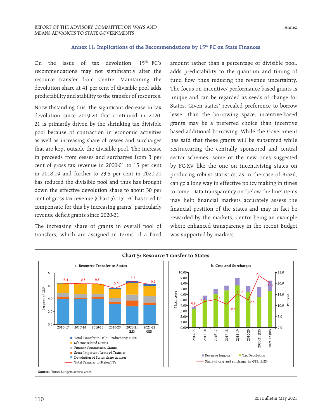# Annex 11: Implications of the Recommendations by 15<sup>th</sup> FC on State Finances

On the issue of tax devolution,  $15<sup>th</sup>$  FC's recommendations may not significantly alter the resource transfer from Centre. Maintaining the devolution share at 41 per cent of divisible pool adds predictability and stability to the transfer of resources.

Notwithstanding this, the significant decrease in tax devolution since 2019-20 that continued in 2020- 21 is primarily driven by the shrinking tax divisible pool because of contraction in economic activities as well as increasing share of cesses and surcharges that are kept outside the divisible pool. The increase in proceeds from cesses and surcharges from 3 per cent of gross tax revenue in 2000-01 to 15 per cent in 2018-19 and further to 23.5 per cent in 2020-21 has reduced the divisible pool and thus has brought down the effective devolution share to about 30 per cent of gross tax revenue (Chart 5).  $15<sup>th</sup>$  FC has tried to compensate for this by increasing grants, particularly revenue deficit grants since 2020-21.

The increasing share of grants in overall pool of transfers, which are assigned in terms of a fixed

amount rather than a percentage of divisible pool, adds predictability to the quantum and timing of fund flow, thus reducing the revenue uncertainty. The focus on incentive/ performance-based grants is unique and can be regarded as seeds of change for States. Given states' revealed preference to borrow lesser than the borrowing space, incentive-based grants may be a preferred choice than incentive based additional borrowing. While the Government has said that these grants will be subsumed while restructuring the centrally sponsored and central sector schemes, some of the new ones suggested by FC-XV like the one on incentivising states on producing robust statistics, as in the case of Brazil, can go a long way in effective policy making in times to come. Data transparency on 'below the line' items may help financial markets accurately assess the financial position of the states and may in fact be rewarded by the markets, Centre being an example where enhanced transparency in the recent Budget was supported by markets.

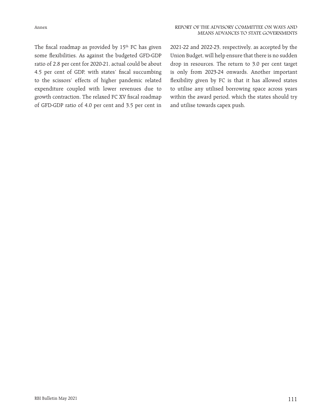The fiscal roadmap as provided by  $15<sup>th</sup>$  FC has given some flexibilities. As against the budgeted GFD-GDP ratio of 2.8 per cent for 2020-21, actual could be about 4.5 per cent of GDP, with states' fiscal succumbing to the scissors' effects of higher pandemic related expenditure coupled with lower revenues due to growth contraction. The relaxed FC XV fiscal roadmap of GFD-GDP ratio of 4.0 per cent and 3.5 per cent in

2021-22 and 2022-23, respectively, as accepted by the Union Budget, will help ensure that there is no sudden drop in resources. The return to 3.0 per cent target is only from 2023-24 onwards. Another important flexibility given by FC is that it has allowed states to utilise any utilised borrowing space across years within the award period, which the states should try and utilise towards capex push.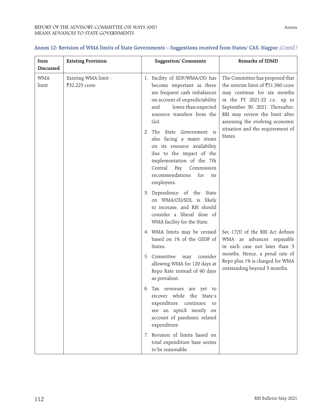#### REPORT OF THE ADVISORY COMMITTEE ON WAYS AND MEANS ADVANCES TO STATE GOVERNMENTS

**Item Discussed**

WMA limit

| <b>Existing Provision</b>             | <b>Suggestion/Comments</b>                                                                                                                                                                                                                                                                                                                                                                                                      | Remarks of IDMD                                                                                                                                                                                                                                                                                      |  |
|---------------------------------------|---------------------------------------------------------------------------------------------------------------------------------------------------------------------------------------------------------------------------------------------------------------------------------------------------------------------------------------------------------------------------------------------------------------------------------|------------------------------------------------------------------------------------------------------------------------------------------------------------------------------------------------------------------------------------------------------------------------------------------------------|--|
| Existing WMA limit -<br>₹32,225 crore | 1. Facility of SDF/WMA/OD has<br>become important as there<br>are frequent cash imbalances<br>on account of unpredictability<br>lower-than-expected<br>and<br>resource transfers from the<br>GoI.<br>2. The State Government is<br>also facing a major strain<br>on its resource availability<br>due to the impact of the<br>implementation of the 7th<br>Central Pay Commission<br>recommendations<br>for<br>its<br>employees. | The Committee has proposed that<br>the interim limit of ₹51,560 crore<br>may continue for six months<br>in the FY 2021-22 <i>i.e.</i> , up to<br>September 30, 2021. Thereafter,<br>RBI may review the limit after<br>assessing the evolving economic<br>situation and the requirement of<br>States. |  |
|                                       | 3. Dependence of the State<br>on WMA/OD/SDL is likely<br>to increase, and RBI should<br>consider a liberal dose of<br>WMA facility for the State.                                                                                                                                                                                                                                                                               |                                                                                                                                                                                                                                                                                                      |  |
|                                       | 4. WMA limits may be revised<br>based on 1% of the GSDP of<br>States.                                                                                                                                                                                                                                                                                                                                                           | Sec 17(5) of the RBI Act defines<br>WMA as advances repayable<br>in each case not later than 3                                                                                                                                                                                                       |  |
|                                       | 5. Committee<br>consider<br>may<br>allowing WMA for 120 days at<br>Repo Rate instead of 90 days<br>as prevalent.                                                                                                                                                                                                                                                                                                                | months. Hence, a penal rate of<br>Repo plus 1% is charged for WMA<br>outstanding beyond 3 months.                                                                                                                                                                                                    |  |
|                                       | 6. Tax revenues are yet to<br>recover while the State's<br>expenditure<br>continues<br>to<br>see an uptick mostly on<br>account of pandemic related<br>expenditure.                                                                                                                                                                                                                                                             |                                                                                                                                                                                                                                                                                                      |  |
|                                       | 7. Revision of limits based on                                                                                                                                                                                                                                                                                                                                                                                                  |                                                                                                                                                                                                                                                                                                      |  |

total expenditure base seems

to be reasonable.

# **Annex 12: Revision of WMA limits of State Governments – Suggestions received from States/ CAS, Nagpur** (Contd.)

٦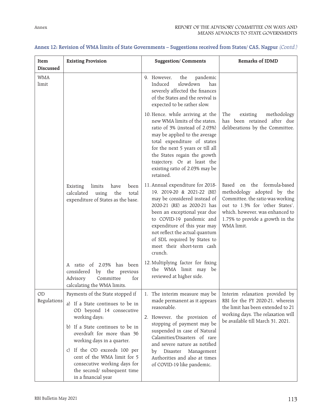| <b>Existing Provision</b>                                                                                                                                                                                                                                                                                        | <b>Suggestion/Comments</b>                                                                                                                                                                                                                                                                                                                 | Remarks of IDMD                                                                                                                                                                                                         |  |
|------------------------------------------------------------------------------------------------------------------------------------------------------------------------------------------------------------------------------------------------------------------------------------------------------------------|--------------------------------------------------------------------------------------------------------------------------------------------------------------------------------------------------------------------------------------------------------------------------------------------------------------------------------------------|-------------------------------------------------------------------------------------------------------------------------------------------------------------------------------------------------------------------------|--|
|                                                                                                                                                                                                                                                                                                                  | the<br>pandemic<br>9. However,<br>slowdown<br>Induced<br>has<br>severely affected the finances<br>of the States and the revival is<br>expected to be rather slow.                                                                                                                                                                          |                                                                                                                                                                                                                         |  |
|                                                                                                                                                                                                                                                                                                                  | 10. Hence, while arriving at the<br>new WMA limits of the states.<br>ratio of 3% (instead of 2.03%)<br>may be applied to the average<br>total expenditure of states<br>for the next 5 years or till all<br>the States regain the growth<br>trajectory. Or at least the<br>existing ratio of 2.03% may be<br>retained.                      | The<br>existing<br>methodology<br>has been retained after due<br>deliberations by the Committee.                                                                                                                        |  |
| Existing<br>limits<br>been<br>have<br>calculated<br>the<br>using<br>total<br>expenditure of States as the base.                                                                                                                                                                                                  | 11. Annual expenditure for 2018-<br>19, 2019-20 & 2021-22 (BE)<br>may be considered instead of<br>2020-21 (RE) as 2020-21 has<br>been an exceptional year due<br>to COVID-19 pandemic and<br>expenditure of this year may<br>not reflect the actual quantum<br>of SDL required by States to<br>meet their short-term cash<br>crunch.       | on the formula-based<br>Based<br>methodology adopted by the<br>Committee, the ratio was working<br>out to 1.3% for 'other States',<br>which, however, was enhanced to<br>1.75% to provide a growth in the<br>WMA limit. |  |
| A ratio of 2.03% has been<br>considered<br>by the previous<br>Advisory<br>for<br>Committee<br>calculating the WMA limits.                                                                                                                                                                                        | 12. Multiplying factor for fixing<br>the WMA limit may be<br>reviewed at higher side.                                                                                                                                                                                                                                                      |                                                                                                                                                                                                                         |  |
| Payments of the State stopped if<br>a) If a State continues to be in<br>OD beyond 14 consecutive<br>working days;<br>b) If a State continues to be in<br>overdraft for more than 36<br>working days in a quarter.<br>c) If the OD exceeds 100 per<br>cent of the WMA limit for 5<br>consecutive working days for | 1. The interim measure may be<br>made permanent as it appears<br>reasonable.<br>2. However, the provision of<br>stopping of payment may be<br>suspended in case of Natural<br>Calamities/Disasters of rare<br>and severe nature as notified<br>Disaster<br>Management<br>by<br>Authorities and also at times<br>of COVID-19 like pandemic. | Interim relaxation provided by<br>RBI for the FY 2020-21, wherein<br>the limit has been extended to 21<br>working days. The relaxation will<br>be available till March 31, 2021.                                        |  |
|                                                                                                                                                                                                                                                                                                                  | the second/ subsequent time<br>in a financial year                                                                                                                                                                                                                                                                                         |                                                                                                                                                                                                                         |  |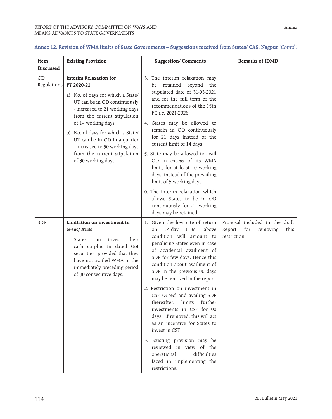| Item<br><b>Discussed</b> | <b>Existing Provision</b>                                                                                                                                                                                                                                                                                                                                               | <b>Suggestion/Comments</b>                                                                                                                                                                                                                                                                                                                                                                                                                                                                                                                                                                                                                                         | Remarks of IDMD                                                                     |
|--------------------------|-------------------------------------------------------------------------------------------------------------------------------------------------------------------------------------------------------------------------------------------------------------------------------------------------------------------------------------------------------------------------|--------------------------------------------------------------------------------------------------------------------------------------------------------------------------------------------------------------------------------------------------------------------------------------------------------------------------------------------------------------------------------------------------------------------------------------------------------------------------------------------------------------------------------------------------------------------------------------------------------------------------------------------------------------------|-------------------------------------------------------------------------------------|
| <b>OD</b><br>Regulations | <b>Interim Relaxation for</b><br>FY 2020-21<br>a) No. of days for which a State/<br>UT can be in OD continuously<br>- increased to 21 working days<br>from the current stipulation<br>of 14 working days.<br>b) No. of days for which a State/<br>UT can be in OD in a quarter<br>- increased to 50 working days<br>from the current stipulation<br>of 36 working days. | 3. The interim relaxation may<br>retained beyond<br>the<br>be<br>stipulated date of 31-03-2021<br>and for the full term of the<br>recommendations of the 15th<br>FC i.e. 2021-2026.<br>4. States may be allowed to<br>remain in OD continuously<br>for 21 days instead of the<br>current limit of 14 days.<br>5. State may be allowed to avail<br>OD in excess of its WMA<br>limit, for at least 10 working<br>days, instead of the prevailing<br>limit of 5 working days.<br>6. The interim relaxation which<br>allows States to be in OD                                                                                                                         |                                                                                     |
|                          |                                                                                                                                                                                                                                                                                                                                                                         | continuously for 21 working<br>days may be retained.                                                                                                                                                                                                                                                                                                                                                                                                                                                                                                                                                                                                               |                                                                                     |
| <b>SDF</b>               | Limitation on investment in<br>G-sec/ATBs<br>their<br><b>States</b><br>invest<br>can<br>cash surplus in dated GoI<br>securities, provided that they<br>have not availed WMA in the<br>immediately preceding period<br>of 90 consecutive days.                                                                                                                           | 1. Given the low rate of return<br>ITBs,<br>above<br>$14$ -day<br>on<br>condition will amount to<br>penalising States even in case<br>of accidental availment of<br>SDF for few days. Hence this<br>condition about availment of<br>SDF in the previous 90 days<br>may be removed in the report.<br>2. Restriction on investment in<br>CSF (G-sec) and availing SDF<br>thereafter,<br>limits<br>further<br>investments in CSF for 90<br>days. If removed, this will act<br>as an incentive for States to<br>invest in CSF.<br>3. Existing provision may be<br>reviewed in view of the<br>difficulties<br>operational<br>faced in implementing the<br>restrictions. | Proposal included in the draft<br>Report<br>for<br>this<br>removing<br>restriction. |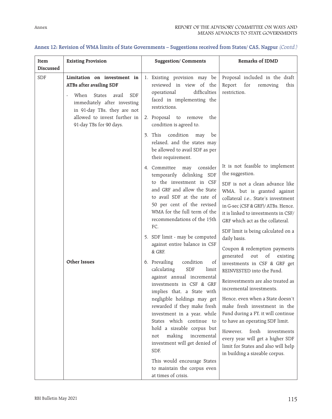| <b>Existing Provision</b><br>Item<br>Discussed                                                                                                                                                                                                | <b>Suggestion/Comments</b>                                                                                                                                                                                                                                                                                                                                                                                                                                                                                                                                                                                                                                                                                                                                                                              | Remarks of IDMD                                                                                                                                                                                                                                                                                                                                                                                                                                                                                                                                                                                                                                                                                                                                                                                                                     |
|-----------------------------------------------------------------------------------------------------------------------------------------------------------------------------------------------------------------------------------------------|---------------------------------------------------------------------------------------------------------------------------------------------------------------------------------------------------------------------------------------------------------------------------------------------------------------------------------------------------------------------------------------------------------------------------------------------------------------------------------------------------------------------------------------------------------------------------------------------------------------------------------------------------------------------------------------------------------------------------------------------------------------------------------------------------------|-------------------------------------------------------------------------------------------------------------------------------------------------------------------------------------------------------------------------------------------------------------------------------------------------------------------------------------------------------------------------------------------------------------------------------------------------------------------------------------------------------------------------------------------------------------------------------------------------------------------------------------------------------------------------------------------------------------------------------------------------------------------------------------------------------------------------------------|
| Limitation on investment in<br><b>SDF</b><br>ATBs after availing SDF<br>When<br><b>States</b><br><b>SDF</b><br>avail<br>immediately after investing<br>in 91-day TBs, they are not<br>allowed to invest further in<br>91-day TBs for 90 days. | 1. Existing provision may be<br>reviewed in view of the<br>difficulties<br>operational<br>faced in implementing the<br>restrictions.<br>2. Proposal to remove<br>the<br>condition is agreed to.                                                                                                                                                                                                                                                                                                                                                                                                                                                                                                                                                                                                         | Proposal included in the draft<br>Report<br>for<br>removing<br>this<br>restriction.                                                                                                                                                                                                                                                                                                                                                                                                                                                                                                                                                                                                                                                                                                                                                 |
|                                                                                                                                                                                                                                               | condition<br>3. This<br>may<br>be<br>relaxed, and the states may<br>be allowed to avail SDF as per<br>their requirement.                                                                                                                                                                                                                                                                                                                                                                                                                                                                                                                                                                                                                                                                                |                                                                                                                                                                                                                                                                                                                                                                                                                                                                                                                                                                                                                                                                                                                                                                                                                                     |
| <b>Other Issues</b>                                                                                                                                                                                                                           | 4. Committee<br>consider<br>may<br>temporarily delinking SDF<br>to the investment in CSF<br>and GRF and allow the State<br>to avail SDF at the rate of<br>50 per cent of the revised<br>WMA for the full term of the<br>recommendations of the 15th<br>FC.<br>5. SDF limit - may be computed<br>against entire balance in CSF<br>& GRF.<br>6. Prevailing<br>condition<br>of<br>calculating<br><b>SDF</b><br>limit<br>against annual incremental<br>investments in CSF & GRF<br>implies that, a State with<br>negligible holdings may get<br>rewarded if they make fresh<br>investment in a year, while<br>States which continue to<br>hold a sizeable corpus but<br>making<br>incremental<br>not<br>investment will get denied of<br>SDF.<br>This would encourage States<br>to maintain the corpus even | It is not feasible to implement<br>the suggestion.<br>SDF is not a clean advance like<br>WMA, but is granted against<br>collateral i.e., State's investment<br>in G-sec (CSF & GRF)/ATBs. Hence,<br>it is linked to investments in CSF/<br>GRF which act as the collateral.<br>SDF limit is being calculated on a<br>daily basis.<br>Coupon & redemption payments<br>out<br>of<br>generated<br>existing<br>investments in CSF & GRF get<br>REINVESTED into the Fund.<br>Reinvestments are also treated as<br>incremental investments.<br>Hence, even when a State doesn't<br>make fresh investment in the<br>Fund during a FY, it will continue<br>to have an operating SDF limit.<br>fresh<br>However.<br>investments<br>every year will get a higher SDF<br>limit for States and also will help<br>in building a sizeable corpus. |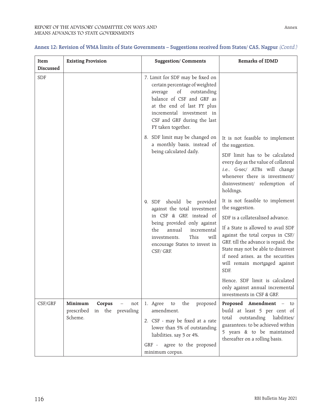| Item<br>Discussed | <b>Existing Provision</b>                                              | <b>Suggestion/Comments</b>                                                                                                                                                                                                                      | Remarks of IDMD                                                                                                                                                                                                                                                                                                                                                                                                                |
|-------------------|------------------------------------------------------------------------|-------------------------------------------------------------------------------------------------------------------------------------------------------------------------------------------------------------------------------------------------|--------------------------------------------------------------------------------------------------------------------------------------------------------------------------------------------------------------------------------------------------------------------------------------------------------------------------------------------------------------------------------------------------------------------------------|
| <b>SDF</b>        |                                                                        | 7. Limit for SDF may be fixed on<br>certain percentage of weighted<br>of<br>average<br>outstanding<br>balance of CSF and GRF as<br>at the end of last FY plus<br>incremental investment in<br>CSF and GRF during the last<br>FY taken together. |                                                                                                                                                                                                                                                                                                                                                                                                                                |
|                   |                                                                        | 8. SDF limit may be changed on<br>a monthly basis, instead of<br>being calculated daily.                                                                                                                                                        | It is not feasible to implement<br>the suggestion.<br>SDF limit has to be calculated<br>every day as the value of collateral<br>i.e., G-sec/ ATBs will change<br>whenever there is investment/<br>disinvestment/ redemption of<br>holdings.                                                                                                                                                                                    |
|                   |                                                                        | should be provided<br>9. SDF<br>against the total investment<br>in CSF & GRF, instead of<br>being provided only against<br>the<br>annual<br>incremental<br>This<br>will<br>investments.<br>encourage States to invest in<br>CSF/GRF.            | It is not feasible to implement<br>the suggestion.<br>SDF is a collateralised advance.<br>If a State is allowed to avail SDF<br>against the total corpus in CSF/<br>GRF, till the advance is repaid, the<br>State may not be able to disinvest<br>if need arises, as the securities<br>will remain mortgaged against<br>SDF.<br>Hence, SDF limit is calculated<br>only against annual incremental<br>investments in CSF & GRF. |
| CSF/GRF           | Minimum<br>Corpus<br>not<br>prescribed<br>in the prevailing<br>Scheme. | 1. Agree<br>the<br>to<br>proposed<br>amendment.<br>2. CSF - may be fixed at a rate<br>lower than 5% of outstanding<br>liabilities, say 3 or 4%.<br>GRF - agree to the proposed<br>minimum corpus.                                               | <b>Proposed Amendment</b> – to<br>build at least 5 per cent of<br>outstanding liabilities/<br>total<br>guarantees; to be achieved within<br>5 years & to be maintained<br>thereafter on a rolling basis.                                                                                                                                                                                                                       |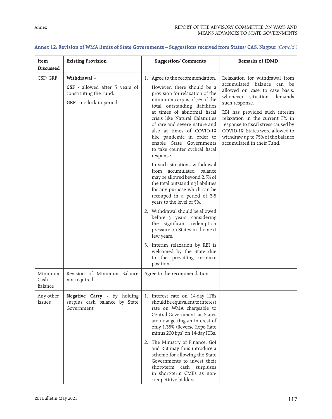| Item<br><b>Discussed</b>   | <b>Existing Provision</b>                                                                          | <b>Suggestion/Comments</b>                                                                                                                                                                                                                                                                                                                                                                               | Remarks of IDMD                                                                                                                                                                                                                                                                                                                                                   |
|----------------------------|----------------------------------------------------------------------------------------------------|----------------------------------------------------------------------------------------------------------------------------------------------------------------------------------------------------------------------------------------------------------------------------------------------------------------------------------------------------------------------------------------------------------|-------------------------------------------------------------------------------------------------------------------------------------------------------------------------------------------------------------------------------------------------------------------------------------------------------------------------------------------------------------------|
| CSF/GRF                    | Withdrawal-<br>CSF - allowed after 5 years of<br>constituting the Fund.<br>GRF - no lock-in period | 1. Agree to the recommendation.<br>However, there should be a<br>provision for relaxation of the<br>minimum corpus of 5% of the<br>total outstanding liabilities<br>at times of abnormal fiscal<br>crisis like Natural Calamities<br>of rare and severe nature and<br>also at times of COVID-19<br>like pandemic in order to<br>enable State Governments<br>to take counter cyclical fiscal<br>response. | Relaxation for withdrawal from<br>accumulated balance can be<br>allowed on case to case basis,<br>whenever situation demands<br>such response.<br>RBI has provided such interim<br>relaxation in the current FY, in<br>response to fiscal stress caused by<br>COVID-19. States were allowed to<br>withdraw up to 75% of the balance<br>accumulated in their Fund. |
|                            |                                                                                                    | In such situations withdrawal<br>from accumulated balance<br>may be allowed beyond 2.5% of<br>the total outstanding liabilities<br>for any purpose which can be<br>recouped in a period of 3-5<br>years to the level of 5%.<br>2. Withdrawal should be allowed<br>before 5 years, considering<br>the significant redemption<br>pressure on States in the next<br>few years.                              |                                                                                                                                                                                                                                                                                                                                                                   |
|                            |                                                                                                    | 3. Interim relaxation by RBI is<br>welcomed by the State due<br>to the prevailing resource<br>position.                                                                                                                                                                                                                                                                                                  |                                                                                                                                                                                                                                                                                                                                                                   |
| Minimum<br>Cash<br>Balance | Revision of Minimum Balance<br>not required                                                        | Agree to the recommendation.                                                                                                                                                                                                                                                                                                                                                                             |                                                                                                                                                                                                                                                                                                                                                                   |
| Any other<br>Issues        | Negative Carry - by holding<br>surplus cash balance by State<br>Government                         | 1. Interest rate on 14-day ITBs<br>should be equivalent to interest<br>rate on WMA chargeable to<br>Central Government, as States<br>are now getting an interest of<br>only 1.35% (Reverse Repo Rate<br>minus 200 bps) on 14-day ITBs.                                                                                                                                                                   |                                                                                                                                                                                                                                                                                                                                                                   |
|                            |                                                                                                    | 2. The Ministry of Finance, GoI<br>and RBI may thus introduce a<br>scheme for allowing the State<br>Governments to invest their<br>short-term cash surpluses<br>in short-term CMBs as non-<br>competitive bidders.                                                                                                                                                                                       |                                                                                                                                                                                                                                                                                                                                                                   |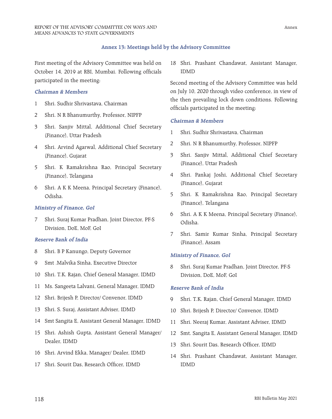#### **Annex 13: Meetings held by the Advisory Committee**

First meeting of the Advisory Committee was held on October 14, 2019 at RBI, Mumbai. Following officials participated in the meeting:

#### **Chairman & Members**

- 1 Shri. Sudhir Shrivastava, Chairman
- 2 Shri. N R Bhanumurthy, Professor, NIPFP
- 3 Shri. Sanjiv Mittal, Additional Chief Secretary (Finance), Uttar Pradesh
- 4 Shri. Arvind Agarwal, Additional Chief Secretary (Finance), Gujarat
- 5 Shri. K Ramakrishna Rao, Principal Secretary (Finance), Telangana
- 6 Shri. A K K Meena, Principal Secretary (Finance), Odisha.

#### **Ministry of Finance, GoI**

7 Shri. Suraj Kumar Pradhan, Joint Director, PF-S Division, DoE, MoF, GoI

#### **Reserve Bank of India**

- 8 Shri. B P Kanungo, Deputy Governor
- 9 Smt .Malvika Sinha, Executive Director
- 10 Shri. T.K. Rajan, Chief General Manager, IDMD
- 11 Ms. Sangeeta Lalvani, General Manager, IDMD
- 12 Shri. Brijesh P, Director/ Convenor, IDMD
- 13 Shri. S. Suraj, Assistant Adviser, IDMD
- 14 Smt Sangita E, Assistant General Manager, IDMD
- 15 Shri. Ashish Gupta, Assistant General Manager/ Dealer, IDMD
- 16 Shri. Arvind Ekka, Manager/ Dealer, IDMD
- 17 Shri. Sourit Das, Research Officer, IDMD

18 Shri. Prashant Chandawat, Assistant Manager, IDMD

Second meeting of the Advisory Committee was held on July 10, 2020 through video conference, in view of the then prevailing lock down conditions. Following officials participated in the meeting:

#### **Chairman & Members**

- 1 Shri. Sudhir Shrivastava, Chairman
- 2 Shri. N R Bhanumurthy, Professor, NIPFP
- 3 Shri. Sanjiv Mittal, Additional Chief Secretary (Finance), Uttar Pradesh
- 4 Shri. Pankaj Joshi, Additional Chief Secretary (Finance), Gujarat
- 5 Shri. K Ramakrishna Rao, Principal Secretary (Finance), Telangana
- 6 Shri. A K K Meena, Principal Secretary (Finance), Odisha.
- 7 Shri. Samir Kumar Sinha, Principal Secretary (Finance), Assam

#### **Ministry of Finance, GoI**

8 Shri. Suraj Kumar Pradhan, Joint Director, PF-S Division, DoE, MoF, GoI

#### **Reserve Bank of India**

- 9 Shri. T.K. Rajan, Chief General Manager, IDMD
- 10 Shri. Brijesh P, Director/ Convenor, IDMD
- 11 Shri. Neeraj Kumar, Assistant Adviser, IDMD
- 12 Smt. Sangita E, Assistant General Manager, IDMD
- 13 Shri. Sourit Das, Research Officer, IDMD
- 14 Shri. Prashant Chandawat, Assistant Manager, IDMD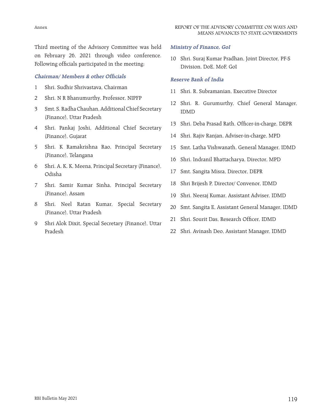Third meeting of the Advisory Committee was held on February 26, 2021 through video conference. Following officials participated in the meeting:

# **Chairman/ Members & other Officials**

- 1 Shri. Sudhir Shrivastava, Chairman
- 2 Shri. N R Bhanumurthy, Professor, NIPFP
- 3 Smt. S. Radha Chauhan, Additional Chief Secretary (Finance), Uttar Pradesh
- 4 Shri. Pankaj Joshi, Additional Chief Secretary (Finance), Gujarat
- 5 Shri. K Ramakrishna Rao, Principal Secretary (Finance), Telangana
- 6 Shri. A. K. K. Meena, Principal Secretary (Finance), Odisha
- 7 Shri. Samir Kumar Sinha, Principal Secretary (Finance), Assam
- 8 Shri. Neel Ratan Kumar, Special Secretary (Finance), Uttar Pradesh
- 9 Shri Alok Dixit, Special Secretary (Finance), Uttar Pradesh

# **Ministry of Finance, GoI**

10 Shri. Suraj Kumar Pradhan, Joint Director, PF-S Division, DoE, MoF, GoI

#### **Reserve Bank of India**

- 11 Shri. R. Subramanian, Executive Director
- 12 Shri. R. Gurumurthy, Chief General Manager, IDMD
- 13 Shri. Deba Prasad Rath, Officer-in-charge, DEPR
- 14 Shri. Rajiv Ranjan, Adviser-in-charge, MPD
- 15 Smt. Latha Vishwanath, General Manager, IDMD
- 16 Shri. Indranil Bhattacharya, Director, MPD
- 17 Smt. Sangita Misra, Director, DEPR
- 18 Shri Brijesh P, Director/ Convenor, IDMD
- 19 Shri. Neeraj Kumar, Assistant Adviser, IDMD
- 20 Smt. Sangita E, Assistant General Manager, IDMD
- 21 Shri. Sourit Das, Research Officer, IDMD
- 22 Shri. Avinash Deo, Assistant Manager, IDMD